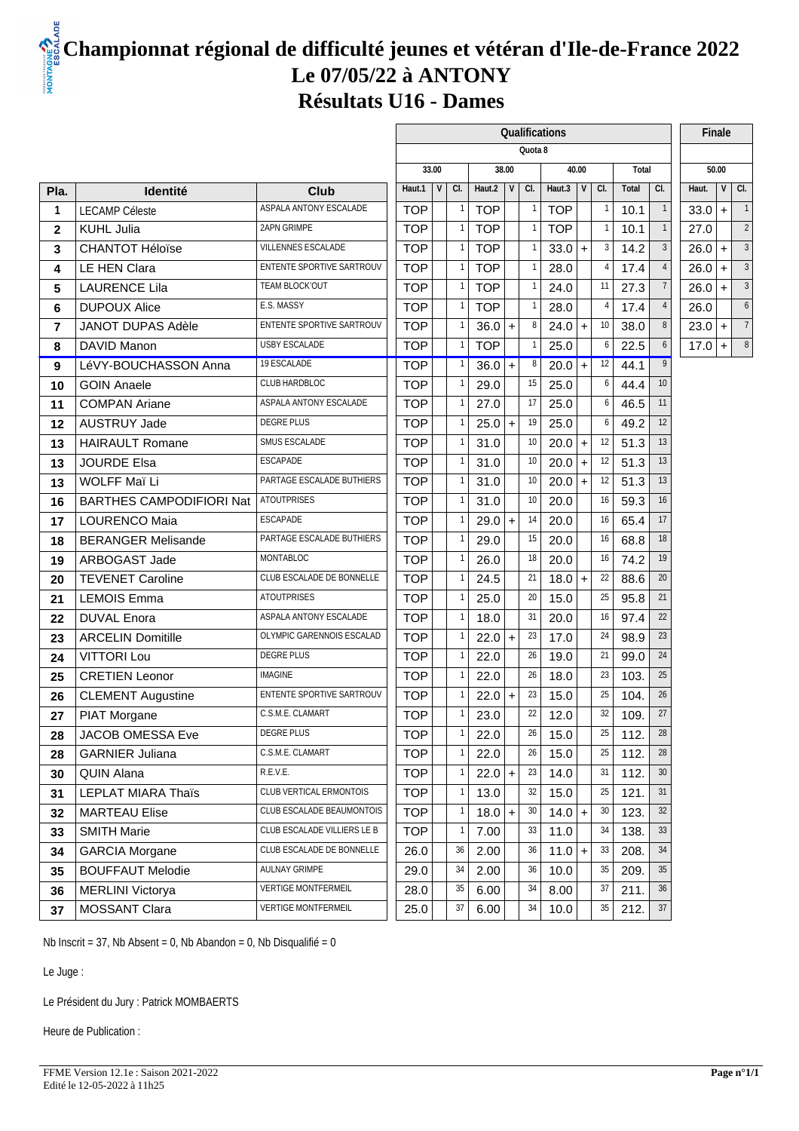### **Championnat régional de difficulté jeunes et vétéran d'Ile-de-France 2022 Le 07/05/22 à ANTONY Résultats U16 - Dames**

|                |                                 |                             |             |     |            |                  |         | Qualifications |           |                |       |                 | Finale                           |
|----------------|---------------------------------|-----------------------------|-------------|-----|------------|------------------|---------|----------------|-----------|----------------|-------|-----------------|----------------------------------|
|                |                                 |                             |             |     |            |                  | Quota 8 |                |           |                |       |                 |                                  |
|                |                                 |                             | 33.00       |     |            | 38.00            |         |                | 40.00     |                | Total |                 | 50.00                            |
| Pla.           | <b>Identité</b>                 | Club                        | V<br>Haut.1 | CI. | Haut.2     | $\vee$           | CI.     | Haut.3         | V         | CI.            | Total | CI.             | V<br>CI.<br>Haut.                |
| $\overline{1}$ | <b>LECAMP Céleste</b>           | ASPALA ANTONY ESCALADE      | <b>TOP</b>  |     | <b>TOP</b> |                  |         | <b>TOP</b>     |           |                | 10.1  |                 | $33.0 +$                         |
| $\mathbf{2}$   | KUHL Julia                      | 2APN GRIMPE                 | <b>TOP</b>  |     | <b>TOP</b> |                  |         | <b>TOP</b>     |           |                | 10.1  | $\overline{1}$  | 27.0<br>$\overline{\phantom{a}}$ |
| 3              | <b>CHANTOT Héloïse</b>          | VILLENNES ESCALADE          | <b>TOP</b>  |     | <b>TOP</b> |                  |         | 33.0           | $\ddot{}$ | -3             | 14.2  | -3              | 26.0<br>$\ddot{}$                |
| 4              | LE HEN Clara                    | ENTENTE SPORTIVE SARTROUV   | <b>TOP</b>  |     | <b>TOP</b> |                  |         | 28.0           |           | $\overline{4}$ | 17.4  |                 | 3<br>26.0<br>$+$                 |
| 5              | <b>LAURENCE Lila</b>            | TEAM BLOCK'OUT              | <b>TOP</b>  |     | <b>TOP</b> |                  |         | 24.0           |           | 11             | 27.3  |                 | 26.0<br>$\ddot{}$<br>3           |
| 6              | <b>DUPOUX Alice</b>             | E.S. MASSY                  | <b>TOP</b>  |     | <b>TOP</b> |                  |         | 28.0           |           | 4              | 17.4  |                 | 26.0                             |
| $\overline{7}$ | <b>JANOT DUPAS Adèle</b>        | ENTENTE SPORTIVE SARTROUV   | <b>TOP</b>  |     | 36.0       | $\ddot{}$        |         | 24.0           | $\ddot{}$ | 10             | 38.0  | 8               | $23.0 +$                         |
| 8              | DAVID Manon                     | <b>USBY ESCALADE</b>        | <b>TOP</b>  |     | <b>TOP</b> |                  |         | 25.0           |           | -6             | 22.5  |                 | $17.0 +$<br>8                    |
| 9              | LéVY-BOUCHASSON Anna            | 19 ESCALADE                 | <b>TOP</b>  |     | 36.0       | $\ddot{}$        |         | 20.0           | $+$       | 12             | 44.1  | 9               |                                  |
| 10             | <b>GOIN Anaele</b>              | CLUB HARDBLOC               | <b>TOP</b>  |     | 29.0       |                  | 15      | 25.0           |           | 6              | 44.4  | 10              |                                  |
| 11             | <b>COMPAN Ariane</b>            | ASPALA ANTONY ESCALADE      | <b>TOP</b>  |     | 27.0       |                  | -17     | 25.0           |           | -6             | 46.5  | 11              |                                  |
| 12             | <b>AUSTRUY Jade</b>             | DEGRE PLUS                  | <b>TOP</b>  |     | 25.0       | $\boldsymbol{+}$ | 19      | 25.0           |           |                | 49.2  | 12              |                                  |
| 13             | <b>HAIRAULT Romane</b>          | SMUS ESCALADE               | <b>TOP</b>  |     | 31.0       |                  | 10      | 20.0           | $+$       | 12             | 51.3  | 13              |                                  |
| 13             | <b>JOURDE Elsa</b>              | ESCAPADE                    | <b>TOP</b>  |     | 31.0       |                  | 10      | 20.0           | $+$       | 12             | 51.3  | 13              |                                  |
| 13             | WOLFF Maï Li                    | PARTAGE ESCALADE BUTHIERS   | <b>TOP</b>  |     | 31.0       |                  | 10      | 20.0           | $+$       | 12             | 51.3  | 13              |                                  |
| 16             | <b>BARTHES CAMPODIFIORI Nat</b> | <b>ATOUTPRISES</b>          | <b>TOP</b>  |     | 31.0       |                  | 10      | 20.0           |           | 16             | 59.3  | 16              |                                  |
| 17             | <b>LOURENCO Maia</b>            | ESCAPADE                    | <b>TOP</b>  |     | 29.0       | $\ddot{}$        | 14      | 20.0           |           | 16             | 65.4  | 17              |                                  |
| 18             | <b>BERANGER Melisande</b>       | PARTAGE ESCALADE BUTHIERS   | <b>TOP</b>  |     | 29.0       |                  | 15      | 20.0           |           | 16             | 68.8  | 18              |                                  |
| 19             | ARBOGAST Jade                   | <b>MONTABLOC</b>            | <b>TOP</b>  |     | 26.0       |                  | 18      | 20.0           |           | 16             | 74.2  | 19              |                                  |
| 20             | <b>TEVENET Caroline</b>         | CLUB ESCALADE DE BONNELLE   | <b>TOP</b>  |     | 24.5       |                  | 21      | 18.0           | $\ddot{}$ | 22             | 88.6  | 20              |                                  |
| 21             | <b>LEMOIS Emma</b>              | <b>ATOUTPRISES</b>          | <b>TOP</b>  |     | 25.0       |                  | 20      | 15.0           |           | 25             | 95.8  | 21              |                                  |
| 22             | <b>DUVAL Enora</b>              | ASPALA ANTONY ESCALADE      | <b>TOP</b>  |     | 18.0       |                  | 31      | 20.0           |           | 16             | 97.4  | 22              |                                  |
| 23             | <b>ARCELIN Domitille</b>        | OLYMPIC GARENNOIS ESCALAD   | <b>TOP</b>  |     | 22.0       | $\ddot{}$        | 23      | 17.0           |           | 24             | 98.9  | 23              |                                  |
| 24             | <b>VITTORI Lou</b>              | <b>DEGRE PLUS</b>           | <b>TOP</b>  |     | 22.0       |                  | 26      | 19.0           |           | 21             | 99.0  | 24              |                                  |
| 25             | <b>CRETIEN Leonor</b>           | <b>IMAGINE</b>              | <b>TOP</b>  |     | 22.0       |                  | 26      | 18.0           |           | 23             | 103.  | 25              |                                  |
| 26             | <b>CLEMENT Augustine</b>        | ENTENTE SPORTIVE SARTROUV   | <b>TOP</b>  |     | 22.0       |                  | 23      | 15.0           |           | 25             | 104.  | 26              |                                  |
| 27             | PIAT Morgane                    | C.S.M.E. CLAMART            | <b>TOP</b>  |     | 23.0       |                  | 22      | 12.0           |           | 32             | 109.  | 27              |                                  |
| 28             | JACOB OMESSA Eve                | DEGRE PLUS                  | <b>TOP</b>  |     | 22.0       |                  | 26      | 15.0           |           | 25             | 112.  | 28              |                                  |
| 28             | <b>GARNIER Juliana</b>          | C.S.M.E. CLAMART            | <b>TOP</b>  |     | 22.0       |                  | 26      | 15.0           |           | 25             | 112.  | 28              |                                  |
| 30             | <b>QUIN Alana</b>               | R.E.V.E.                    | <b>TOP</b>  |     | 22.0       | $\ddot{}$        | 23      | 14.0           |           | 31             | 112.  | 30 <sup>°</sup> |                                  |
| 31             | <b>LEPLAT MIARA Thaïs</b>       | CLUB VERTICAL ERMONTOIS     | <b>TOP</b>  |     | 13.0       |                  | 32      | 15.0           |           | 25             | 121.  | 31              |                                  |
| 32             | <b>MARTEAU Elise</b>            | CLUB ESCALADE BEAUMONTOIS   | <b>TOP</b>  |     | 18.0       | $\ddot{}$        | 30      | 14.0           | $+$       | 30             | 123.  | 32              |                                  |
| 33             | <b>SMITH Marie</b>              | CLUB ESCALADE VILLIERS LE B | <b>TOP</b>  |     | 7.00       |                  | 33      | 11.0           |           | 34             | 138.  | 33              |                                  |
| 34             | <b>GARCIA Morgane</b>           | CLUB ESCALADE DE BONNELLE   | 26.0        | 36  | 2.00       |                  | 36      | 11.0           | $+$       | 33             | 208.  | 34              |                                  |
| 35             | <b>BOUFFAUT Melodie</b>         | AULNAY GRIMPE               | 29.0        | 34  | 2.00       |                  | 36      | 10.0           |           | 35             | 209.  | $35\,$          |                                  |
| 36             | MERLINI Victorya                | <b>VERTIGE MONTFERMEIL</b>  | 28.0        | 35  | 6.00       |                  | 34      | 8.00           |           | 37             | 211.  | 36              |                                  |
| 37             | MOSSANT Clara                   | <b>VERTIGE MONTFERMEIL</b>  | 25.0        | 37  | 6.00       |                  | 34      | 10.0           |           | 35             | 212.  | 37              |                                  |
|                |                                 |                             |             |     |            |                  |         |                |           |                |       |                 |                                  |

Nb Inscrit = 37, Nb Absent = 0, Nb Abandon = 0, Nb Disqualifié = 0

Le Juge :

Le Président du Jury : Patrick MOMBAERTS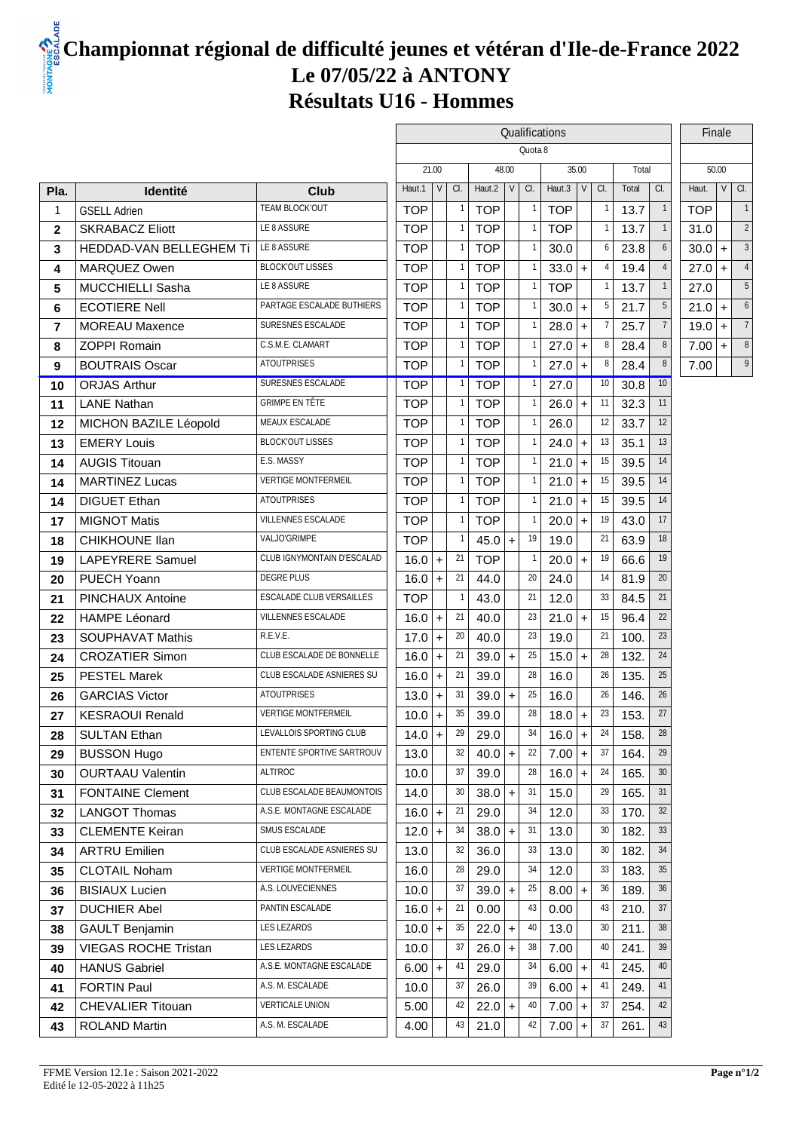## **Championnat régional de difficulté jeunes et vétéran d'Ile-de-France 2022 Le 07/05/22 à ANTONY Résultats U16 - Hommes**

|                |                             |                                   | Qualifications |                 |            |       |                    |            |                    |     |       |                 |            | Finale |                |
|----------------|-----------------------------|-----------------------------------|----------------|-----------------|------------|-------|--------------------|------------|--------------------|-----|-------|-----------------|------------|--------|----------------|
|                |                             |                                   |                |                 |            |       | Quota <sub>8</sub> |            |                    |     |       |                 |            |        |                |
|                |                             |                                   | 21.00          |                 |            | 48.00 |                    | 35.00      |                    |     | Total |                 |            | 50.00  |                |
| Pla.           | <b>Identité</b>             | <b>Club</b>                       | Haut.1         | $\vee$<br>a.    | Haut.2     | V     | CI.                | Haut.3     | $V \mid G$ .       |     | Total | a.              | Haut.      |        | $V$ $\alpha$ . |
| $\overline{1}$ | <b>GSELL Adrien</b>         | <b>TEAM BLOCKOUT</b>              | <b>TOP</b>     |                 | <b>TOP</b> |       |                    | <b>TOP</b> |                    |     | 13.7  | $\overline{1}$  | <b>TOP</b> |        |                |
| $\mathbf{2}$   | <b>SKRABACZ Eliott</b>      | LE8ASSURE                         | <b>TOP</b>     | -1              | <b>TOP</b> |       |                    | <b>TOP</b> |                    |     | 13.7  | $\overline{1}$  | 31.0       |        | 2              |
| 3              | HEDDAD-VAN BELLEGHEM Ti     | LE8 ASSURE                        | <b>TOP</b>     |                 | <b>TOP</b> |       |                    | 30.0       |                    | 6   | 23.8  | 6               | 30.0       | $+$    | 3              |
| 4              | MARQUEZ Owen                | <b>BLOCKOUT LISSES</b>            | <b>TOP</b>     | $\overline{1}$  | <b>TOP</b> |       |                    | 33.0       | $\ddot{}$          |     | 19.4  |                 | 27.0       | $+$    |                |
| 5              | <b>MUCCHIELLI Sasha</b>     | LE8 ASSURE                        | <b>TOP</b>     |                 | <b>TOP</b> |       |                    | <b>TOP</b> |                    |     | 13.7  | $\overline{1}$  | 27.0       |        |                |
| 6              | <b>ECOTIERE Nell</b>        | PARTAGE ESCALADE BUTHIERS         | <b>TOP</b>     |                 | <b>TOP</b> |       |                    | 30.0       | $\ddot{}$          | 5   | 21.7  | 5               | 21.0       | $+$    | 6              |
| $\overline{7}$ | <b>MOREAU Maxence</b>       | SURESNES ESCALADE                 | <b>TOP</b>     | $\mathbf{1}$    | <b>TOP</b> |       |                    | 28.0       | $\ddot{}$          |     | 25.7  | $\overline{7}$  | 19.0       | $+$    |                |
| 8              | <b>ZOPPI Romain</b>         | <b>C.S.M.E. CLAMART</b>           | <b>TOP</b>     |                 | <b>TOP</b> |       |                    | 27.0       | $\ddot{}$          | 8   | 28.4  | 8               | 7.00       | $+$    | 8              |
| 9              | <b>BOUTRAIS Oscar</b>       | <b>ATOUTPRISES</b>                | <b>TOP</b>     | $\overline{1}$  | <b>TOP</b> |       |                    | 27.0       | $\ddot{}$          | 8   | 28.4  | 8               | 7.00       |        | 9              |
| 10             | <b>ORJAS Arthur</b>         | SURESNES ESCALADE                 | <b>TOP</b>     |                 | <b>TOP</b> |       |                    | 27.0       |                    | 10  | 30.8  | 10 <sup>°</sup> |            |        |                |
| 11             | <b>LANE Nathan</b>          | GRIMPE EN TÊTE                    | <b>TOP</b>     |                 | <b>TOP</b> |       |                    | 26.0       | $\ddot{}$          | 11  | 32.3  | 11              |            |        |                |
| 12             | MICHON BAZILE Léopold       | <b>MEAUX ESCALADE</b>             | <b>TOP</b>     | $\mathbf{1}$    | <b>TOP</b> |       |                    | 26.0       |                    | 12  | 33.7  | 12              |            |        |                |
| 13             | <b>EMERY Louis</b>          | <b>BLOCKOUT LISSES</b>            | <b>TOP</b>     |                 | <b>TOP</b> |       |                    | 24.0       | $\ddot{}$          | 13  | 35.1  | 13              |            |        |                |
| 14             | <b>AUGIS Titouan</b>        | E.S. MASSY                        | <b>TOP</b>     | $\mathbf{1}$    | <b>TOP</b> |       |                    | 21.0       | $\ddot{}$          | 15  | 39.5  | 14              |            |        |                |
| 14             | <b>MARTINEZ Lucas</b>       | <b>VERTIGE MONTFERMEIL</b>        | <b>TOP</b>     |                 | <b>TOP</b> |       |                    | 21.0       | $\ddot{}$          | 15  | 39.5  | 14              |            |        |                |
| 14             | <b>DIGUET Ethan</b>         | <b>ATOUTPRISES</b>                | <b>TOP</b>     |                 | <b>TOP</b> |       |                    | 21.0       | $\ddot{}$          | 15  | 39.5  | 14              |            |        |                |
| 17             | <b>MIGNOT Matis</b>         | VILLENNES ESCALADE                | <b>TOP</b>     | $\overline{1}$  | <b>TOP</b> |       |                    | 20.0       | $\ddot{}$          | 19  | 43.0  | 17              |            |        |                |
| 18             | <b>CHIKHOUNE IIan</b>       | <b>VALJOGRIMPE</b>                | <b>TOP</b>     | -1              | $45.0 +$   |       | 19                 | 19.0       |                    | 21  | 63.9  | 18              |            |        |                |
| 19             | <b>LAPEYRERE Samuel</b>     | <b>CLUB IGNYMONTAIN D'ESCALAD</b> | $16.0 +$       | 21              | <b>TOP</b> |       |                    | 20.0       | $\ddot{}$          | 19  | 66.6  | 19              |            |        |                |
| 20             | PUECH Yoann                 | <b>DEGREPLUS</b>                  | 16.0           | 21<br>$\ddot{}$ | 44.0       |       | 20                 | 24.0       |                    | 14  | 81.9  | 20              |            |        |                |
| 21             | <b>PINCHAUX Antoine</b>     | <b>ESCALADE CLUB VERSAILLES</b>   | <b>TOP</b>     |                 | 43.0       |       | 21                 | 12.0       |                    | 33  | 84.5  | 21              |            |        |                |
| 22             | <b>HAMPE Léonard</b>        | VILLENNES ESCALADE                | $16.0 +$       | 21              | 40.0       |       | 23                 | 21.0       | $\left  + \right $ | 15  | 96.4  | $22\,$          |            |        |                |
| 23             | <b>SOUPHAVAT Mathis</b>     | R.E.V.E.                          | $17.0 +$       | 20              | 40.0       |       | 23                 | 19.0       |                    | 21  | 100.  | 23              |            |        |                |
| 24             | <b>CROZATIER Simon</b>      | <b>CLUB ESCALADE DE BONNELLE</b>  | $16.0 +$       | 21              | $39.0$ +   |       | 25                 | 15.0       | $\ddot{}$          | 28  | 132.  | 24              |            |        |                |
| 25             | <b>PESTEL Marek</b>         | <b>CLUB ESCALADE ASNIERES SU</b>  | 16.0           | 21<br>$\ddot{}$ | 39.0       |       | 28                 | 16.0       |                    | 26  | 135.  | $25\,$          |            |        |                |
| 26             | <b>GARCIAS Victor</b>       | <b>ATOUTPRISES</b>                | 13.0           | 31<br>$\ddot{}$ | $39.0$ +   |       | 25                 | 16.0       |                    | 26  | 146.  | 26              |            |        |                |
| 27             | <b>KESRAOUI Renald</b>      | <b>VERTIGE MONTFERMEIL</b>        | 10.0           | 35<br>$\ddot{}$ | 39.0       |       | 28                 | 18.0       | $\ddot{}$          | 23  | 153.  | 27              |            |        |                |
| 28             | <b>SULTAN Ethan</b>         | LEVALLOIS SPORTING CLUB           | $14.0$ +       | $29 \mid$       | 29.0       |       | 34                 | $16.0$ +   |                    | 24  | 158.  | 28              |            |        |                |
| 29             | <b>BUSSON Hugo</b>          | <b>ENTENTE SPORTIVE SARTROUV</b>  | 13.0           | 32              | $40.0$ +   |       | $\mathbf{22}$      | 7.00       | $+$                | 37  | 164.  | 29              |            |        |                |
| 30             | <b>OURTAAU Valentin</b>     | ALTI'ROC                          | 10.0           | 37              | 39.0       |       | 28                 | 16.0       | $+$                | 24  | 165.  | 30              |            |        |                |
| 31             | <b>FONTAINE Clement</b>     | <b>CLUB ESCALADE BEAUMONTOIS</b>  | 14.0           | 30 <sup>°</sup> | $38.0 +$   |       | 31                 | 15.0       |                    | 29  | 165.  | 31              |            |        |                |
| 32             | <b>LANGOT Thomas</b>        | A.S.E. MONTAGNE ESCALADE          | $16.0 +$       | 21              | 29.0       |       | 34                 | 12.0       |                    | 33  | 170.  | $32\,$          |            |        |                |
| 33             | <b>CLEMENTE Keiran</b>      | SMUS ESCALADE                     | $12.0 +$       | 34              | $38.0$ +   |       | 31                 | 13.0       |                    | 30  | 182.  | 33              |            |        |                |
| 34             | <b>ARTRU Emilien</b>        | <b>CLUB ESCALADE ASNIERES SU</b>  | 13.0           | 32              | 36.0       |       | 33                 | 13.0       |                    | 30  | 182.  | 34              |            |        |                |
| 35             | <b>CLOTAIL Noham</b>        | <b>VERTIGE MONTFERMEIL</b>        | 16.0           | 28              | 29.0       |       | 34                 | 12.0       |                    | 33  | 183.  | 35              |            |        |                |
| 36             | <b>BISIAUX Lucien</b>       | A.S. LOUVECIENNES                 | 10.0           | 37              | $39.0$ +   |       | 25                 | 8.00       | $\ddot{}$          | 36  | 189.  | 36              |            |        |                |
| 37             | <b>DUCHIER Abel</b>         | PANTIN ESCALADE                   | $16.0 +$       | 21              | 0.00       |       | 43                 | 0.00       |                    | 43  | 210.  | 37              |            |        |                |
| 38             | <b>GAULT Benjamin</b>       | <b>LES LEZARDS</b>                | $10.0 +$       | 35              | $22.0 +$   |       | 40                 | 13.0       |                    | 30  | 211.  | 38              |            |        |                |
| 39             | <b>VIEGAS ROCHE Tristan</b> | <b>LES LEZARDS</b>                | 10.0           | 37              | $26.0$ +   |       | 38                 | 7.00       |                    | 40  | 241.  | 39              |            |        |                |
| 40             | <b>HANUS Gabriel</b>        | A.S.E. MONTAGNE ESCALADE          | $6.00 +$       | 41              | 29.0       |       | 34                 | 6.00       | $\ddot{}$          | 41  | 245.  | 40              |            |        |                |
| 41             | <b>FORTIN Paul</b>          | A.S. M. ESCALADE                  | 10.0           | 37              | 26.0       |       | 39                 | 6.00       | $\ddot{}$          | -41 | 249.  | 41              |            |        |                |
| 42             | <b>CHEVALIER Titouan</b>    | <b>VERTICALE UNION</b>            | 5.00           | 42              | $22.0$ +   |       | 40                 | 7.00       | $\ddot{}$          | 37  | 254.  | 42              |            |        |                |
| 43             | <b>ROLAND Martin</b>        | A.S. M. ESCALADE                  | 4.00           | 43              | 21.0       |       | 42                 | 7.00       | $\ddot{}$          | 37  | 261.  | 43              |            |        |                |
|                |                             |                                   |                |                 |            |       |                    |            |                    |     |       |                 |            |        |                |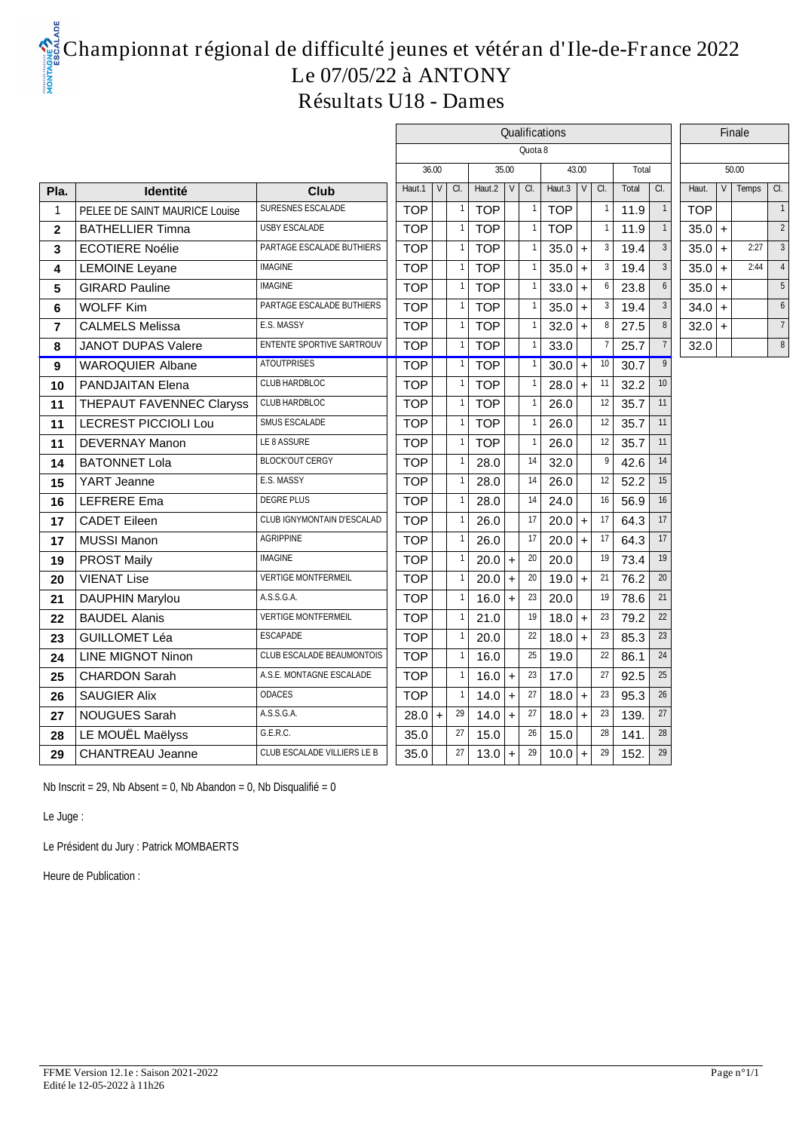# **Championnat régional de difficulté jeunes et vétéran d'Ile-de-France 2022 Le 07/05/22 à ANTONY Résultats U18 - Dames**

|                |                               |                                    | Qualifications     |           |                |              |     |        |                  |           |                 |       |                  |            |           | Finale |                |
|----------------|-------------------------------|------------------------------------|--------------------|-----------|----------------|--------------|-----|--------|------------------|-----------|-----------------|-------|------------------|------------|-----------|--------|----------------|
|                |                               |                                    | Quota <sub>8</sub> |           |                |              |     |        |                  |           |                 |       |                  |            |           |        |                |
|                |                               |                                    | 36.00              |           |                | 35.00        |     |        |                  | 43.00     |                 | Total |                  |            |           | 50.00  |                |
| Pla.           | Identité                      | Club                               | Haut.1             | a.<br>V   |                | Haut.2 $ V $ |     | a.     | Haut.3 $ V $ Cl. |           |                 | Total | a.               | Haut.      | V         | Temps  | CI.            |
| -1             | PELEE DE SAINT MAURICE Louise | SURESNES ESCALADE                  | <b>TOP</b>         |           | $\overline{1}$ | <b>TOP</b>   |     |        | <b>TOP</b>       |           |                 | 11.9  | $\overline{1}$   | <b>TOP</b> |           |        | $\overline{1}$ |
| $\overline{2}$ | <b>BATHELLIER Timna</b>       | <b>USBY ESCALADE</b>               | <b>TOP</b>         |           |                | <b>TOP</b>   |     |        | <b>TOP</b>       |           |                 | 11.9  |                  | $35.0 +$   |           |        | 2              |
| 3              | <b>ECOTIERE Noélie</b>        | PARTAGE ESCALADE BUTHIERS          | <b>TOP</b>         |           |                | <b>TOP</b>   |     |        | 35.0             | $\ddot{}$ | 3               | 19.4  | 3                | $35.0 +$   |           | 2:27   | 3              |
| 4              | <b>LEMOINE Leyane</b>         | <b>IMAGINE</b>                     | <b>TOP</b>         |           |                | <b>TOP</b>   |     |        | 35.0             | $\ddot{}$ | 3               | 19.4  | 3                | 35.0       | $\ddot{}$ | 2:44   | $\overline{4}$ |
| 5              | <b>GIRARD Pauline</b>         | <b>IMAGINE</b>                     | <b>TOP</b>         |           | $\overline{1}$ | <b>TOP</b>   |     |        | 33.0             | $\ddot{}$ | 6               | 23.8  | 6                | $35.0 +$   |           |        | $\sqrt{5}$     |
| 6              | <b>WOLFF Kim</b>              | PARTAGE ESCALADE BUTHIERS          | <b>TOP</b>         |           |                | <b>TOP</b>   |     |        | 35.0             | $\ddot{}$ | 3               | 19.4  | 3                | $34.0 +$   |           |        | 6              |
| $\overline{7}$ | <b>CALMELS Melissa</b>        | E.S. MASSY                         | <b>TOP</b>         |           | $\mathbf{1}$   | <b>TOP</b>   |     |        | 32.0             | $+$       | 8               | 27.5  | 8                | $32.0 +$   |           |        | $\overline{7}$ |
| 8              | <b>JANOT DUPAS Valere</b>     | <b>ENTENTE SPORTIVE SARTROUV</b>   | <b>TOP</b>         |           | $\overline{1}$ | <b>TOP</b>   |     |        | 33.0             |           | $\overline{7}$  | 25.7  | $\overline{7}$   | 32.0       |           |        | 8              |
| 9              | <b>WAROQUIER Albane</b>       | <b>ATOUTPRISES</b>                 | <b>TOP</b>         |           | $\vert$ 1      | <b>TOP</b>   |     |        | 30.0             | $\ddot{}$ | 10 <sup>°</sup> | 30.7  | 9                |            |           |        |                |
| 10             | <b>PANDJAITAN Elena</b>       | <b>CLUBHARDBLOC</b>                | <b>TOP</b>         |           | $\overline{1}$ | <b>TOP</b>   |     |        | 28.0             | ÷         | 11              | 32.2  | 10 <sup>10</sup> |            |           |        |                |
| 11             | THEPAUT FAVENNEC Claryss      | <b>CLUBHARDBLOC</b>                | <b>TOP</b>         |           | -1             | <b>TOP</b>   |     |        | 26.0             |           | 12              | 35.7  | 11               |            |           |        |                |
| 11             | <b>LECREST PICCIOLI Lou</b>   | SMUS ESCALADE                      | <b>TOP</b>         |           | -1             | <b>TOP</b>   |     |        | 26.0             |           | 12              | 35.7  | 11               |            |           |        |                |
| 11             | <b>DEVERNAY Manon</b>         | LE 8 ASSURE                        | <b>TOP</b>         |           |                | <b>TOP</b>   |     |        | 26.0             |           | 12              | 35.7  | 11               |            |           |        |                |
| 14             | <b>BATONNET Lola</b>          | <b>BLOCKOUT CERGY</b>              | <b>TOP</b>         |           |                | 28.0         |     | 14     | 32.0             |           | 9               | 42.6  | 14               |            |           |        |                |
| 15             | YART Jeanne                   | E.S. MASSY                         | <b>TOP</b>         |           |                | 28.0         |     | 14     | 26.0             |           | 12              | 52.2  | 15               |            |           |        |                |
| 16             | <b>LEFRERE Ema</b>            | <b>DEGREPLUS</b>                   | <b>TOP</b>         |           | $\overline{1}$ | 28.0         |     | 14     | 24.0             |           | 16              | 56.9  | 16               |            |           |        |                |
| 17             | <b>CADET Eileen</b>           | CLUB IGNYMONTAIN D'ESCALAD         | <b>TOP</b>         |           |                | 26.0         |     | 17     | 20.0             | $\ddot{}$ | 17              | 64.3  | 17               |            |           |        |                |
| 17             | <b>MUSSI Manon</b>            | <b>AGRIPPINE</b>                   | <b>TOP</b>         |           |                | 26.0         |     | 17     | 20.0             | $\ddot{}$ | 17              | 64.3  | 17               |            |           |        |                |
| 19             | <b>PROST Maily</b>            | <b>IMAGINE</b>                     | <b>TOP</b>         |           |                | 20.0         | $+$ | 20     | 20.0             |           | 19              | 73.4  | 19               |            |           |        |                |
| 20             | <b>VIENAT Lise</b>            | <b>VERTIGE MONTFERMEIL</b>         | <b>TOP</b>         |           |                | 20.0         | $+$ | 20     | 19.0             | $\ddot{}$ | 21              | 76.2  | 20               |            |           |        |                |
| 21             | <b>DAUPHIN Marylou</b>        | <b>ASSGA</b>                       | <b>TOP</b>         |           |                | 16.0         | $+$ | 23     | 20.0             |           | 19              | 78.6  | 21               |            |           |        |                |
| 22             | <b>BAUDEL Alanis</b>          | <b>VERTIGE MONTFERMEIL</b>         | <b>TOP</b>         |           |                | 21.0         |     | 19     | 18.0             | $\ddot{}$ | 23              | 79.2  | 22               |            |           |        |                |
| 23             | <b>GUILLOMET Léa</b>          | <b>ESCAPADE</b>                    | <b>TOP</b>         |           |                | 20.0         |     | $22\,$ | 18.0             | ÷         | $23\,$          | 85.3  | 23               |            |           |        |                |
| 24             | <b>LINE MIGNOT Ninon</b>      | <b>CLUB ESCALADE BEAUMONTOIS</b>   | <b>TOP</b>         |           |                | 16.0         |     | 25     | 19.0             |           | 22              | 86.1  | 24               |            |           |        |                |
| 25             | <b>CHARDON Sarah</b>          | A.S.E. MONTAGNE ESCALADE           | <b>TOP</b>         |           |                | 16.0         | $+$ | 23     | 17.0             |           | 27              | 92.5  | 25               |            |           |        |                |
| 26             | <b>SAUGIER Alix</b>           | <b>ODACES</b>                      | <b>TOP</b>         |           | $\overline{1}$ | 14.0         | $+$ | 27     | 18.0             | $\ddot{}$ | $\mathbf{23}$   | 95.3  | 26               |            |           |        |                |
| 27             | <b>NOUGUES Sarah</b>          | <b>ASSGA</b>                       | 28.0               | $\ddot{}$ | 29             | 14.0         | $+$ | 27     | 18.0             | $\ddot{}$ | 23              | 139.  | 27               |            |           |        |                |
| 28             | LE MOUËL Maëlyss              | GERC.                              | 35.0               |           | 27             | 15.0         |     | 26     | 15.0             |           | 28              | 141.  | 28               |            |           |        |                |
| 29             | <b>CHANTREAU Jeanne</b>       | <b>CLUB ESCALADE VILLIERS LE B</b> | 35.0               |           | 27             | $13.0 +$     |     | 29     | 10.0             | $\ddot{}$ | 29              | 152.  | 29               |            |           |        |                |
|                |                               |                                    |                    |           |                |              |     |        |                  |           |                 |       |                  |            |           |        |                |

Nb Inscrit = 29, Nb Absent = 0, Nb Abandon = 0, Nb Disqualifié =

Le Juge :

Le Président du Jury : Patrick MOMBAERTS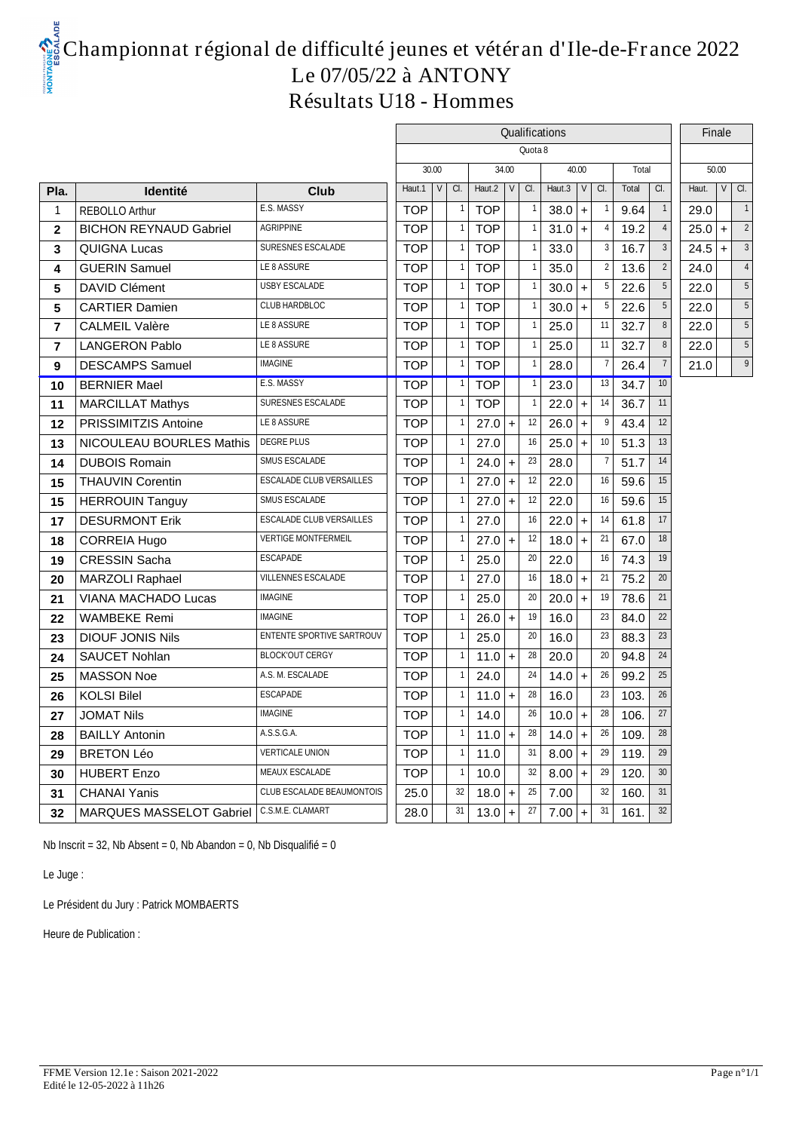## **Championnat régional de difficulté jeunes et vétéran d'Ile-de-France 2022 Le 07/05/22 à ANTONY Résultats U18 - Hommes**

|                |                               |                                  | Qualifications |        |                |                  |           |                    |                |           |                |       |                 |       | Finale    |                 |  |
|----------------|-------------------------------|----------------------------------|----------------|--------|----------------|------------------|-----------|--------------------|----------------|-----------|----------------|-------|-----------------|-------|-----------|-----------------|--|
|                |                               |                                  |                |        |                |                  |           | Quota <sub>8</sub> |                |           |                |       |                 |       |           |                 |  |
|                |                               |                                  |                | 30.00  |                | 34.00            |           |                    |                | 40.00     |                | Total |                 |       | 50.00     |                 |  |
| Pla.           | <b>Identité</b>               | Club                             | Haut.1         | $\vee$ | a.             | Haut.2 $ V $ Cl. |           |                    | Haut.3 $\vert$ | V         | CI.            | Total | a.              | Haut. |           | $VQ$ .          |  |
| $\overline{1}$ | <b>REBOLLO Arthur</b>         | E.S. MASSY                       | <b>TOP</b>     |        |                | <b>TOP</b>       |           |                    | 38.0           | $+$       |                | 9.64  | $\overline{1}$  | 29.0  |           |                 |  |
| $\mathbf{2}$   | <b>BICHON REYNAUD Gabriel</b> | <b>AGRIPPINE</b>                 | <b>TOP</b>     |        |                | <b>TOP</b>       |           |                    | 31.0           | $+$       |                | 19.2  | $\overline{4}$  | 25.0  | $+$       | $\overline{2}$  |  |
| 3              | <b>QUIGNA Lucas</b>           | SURESNES ESCALADE                | <b>TOP</b>     |        |                | <b>TOP</b>       |           |                    | 33.0           |           | 3              | 16.7  | 3               | 24.5  | $\ddot{}$ | $\mathbf{3}$    |  |
| 4              | <b>GUERIN Samuel</b>          | LE8 ASSURE                       | <b>TOP</b>     |        |                | <b>TOP</b>       |           |                    | 35.0           |           | $\overline{2}$ | 13.6  | $\overline{2}$  | 24.0  |           | $\overline{4}$  |  |
| 5              | <b>DAVID Clément</b>          | <b>USBY ESCALADE</b>             | <b>TOP</b>     |        | $\overline{1}$ | <b>TOP</b>       |           |                    | 30.0           | $+$       | 5              | 22.6  | $5\phantom{.0}$ | 22.0  |           | $5\phantom{.0}$ |  |
| 5              | <b>CARTIER Damien</b>         | <b>CLUBHARDBLOC</b>              | <b>TOP</b>     |        | -1             | <b>TOP</b>       |           |                    | 30.0           | $+$       | 5              | 22.6  | $5\phantom{.0}$ | 22.0  |           | 5               |  |
| $\overline{7}$ | <b>CALMEIL Valère</b>         | LE 8 ASSURE                      | <b>TOP</b>     |        |                | <b>TOP</b>       |           |                    | 25.0           |           | 11             | 32.7  | 8               | 22.0  |           | 5               |  |
| $\overline{7}$ | <b>LANGERON Pablo</b>         | LE8ASSURE                        | <b>TOP</b>     |        |                | <b>TOP</b>       |           |                    | 25.0           |           | 11             | 32.7  | 8               | 22.0  |           | 5               |  |
| 9              | <b>DESCAMPS Samuel</b>        | <b>IMAGINE</b>                   | <b>TOP</b>     |        |                | <b>TOP</b>       |           |                    | 28.0           |           |                | 26.4  | $\overline{7}$  | 21.0  |           | $\overline{9}$  |  |
| 10             | <b>BERNIER Mael</b>           | E.S. MASSY                       | <b>TOP</b>     |        | -1             | <b>TOP</b>       |           |                    | 23.0           |           | 13             | 34.7  | 10              |       |           |                 |  |
| 11             | <b>MARCILLAT Mathys</b>       | SURESNES ESCALADE                | <b>TOP</b>     |        |                | <b>TOP</b>       |           |                    | 22.0           |           | 14             | 36.7  | 11              |       |           |                 |  |
| 12             | PRISSIMITZIS Antoine          | LE8ASSURE                        | <b>TOP</b>     |        |                | 27.0             | $\ddot{}$ | 12                 | 26.0           | $+$       | 9              | 43.4  | 12              |       |           |                 |  |
| 13             | NICOULEAU BOURLES Mathis      | <b>DEGREPLUS</b>                 | <b>TOP</b>     |        |                | 27.0             |           | 16                 | 25.0           | $+$       | 10             | 51.3  | 13              |       |           |                 |  |
| 14             | <b>DUBOIS Romain</b>          | SMUS ESCALADE                    | <b>TOP</b>     |        |                | 24.0             | $\ddot{}$ | 23                 | 28.0           |           |                | 51.7  | 14              |       |           |                 |  |
| 15             | <b>THAUVIN Corentin</b>       | <b>ESCALADE CLUB VERSAILLES</b>  | <b>TOP</b>     |        |                | 27.0             | $\ddot{}$ | 12                 | 22.0           |           | 16             | 59.6  | 15              |       |           |                 |  |
| 15             | <b>HERROUIN Tanguy</b>        | SMUS ESCALADE                    | <b>TOP</b>     |        |                | 27.0             | $\ddot{}$ | 12                 | 22.0           |           | 16             | 59.6  | 15              |       |           |                 |  |
| 17             | <b>DESURMONT Erik</b>         | <b>ESCALADE CLUB VERSAILLES</b>  | <b>TOP</b>     |        |                | 27.0             |           | 16                 | 22.0           | $\ddot{}$ | 14             | 61.8  | 17              |       |           |                 |  |
| 18             | <b>CORREIA Hugo</b>           | <b>VERTIGE MONTFERMEIL</b>       | <b>TOP</b>     |        |                | 27.0             | $\ddot{}$ | 12                 | 18.0           | $+$       | 21             | 67.0  | 18              |       |           |                 |  |
| 19             | <b>CRESSIN Sacha</b>          | <b>ESCAPADE</b>                  | <b>TOP</b>     |        |                | 25.0             |           | 20                 | 22.0           |           | 16             | 74.3  | 19              |       |           |                 |  |
| 20             | MARZOLI Raphael               | <b>VILLENNES ESCALADE</b>        | <b>TOP</b>     |        |                | 27.0             |           | 16                 | 18.0           | $+$       | 21             | 75.2  | 20              |       |           |                 |  |
| 21             | VIANA MACHADO Lucas           | <b>IMAGINE</b>                   | <b>TOP</b>     |        |                | 25.0             |           | 20                 | 20.0           | $+$       | 19             | 78.6  | 21              |       |           |                 |  |
| 22             | <b>WAMBEKE Remi</b>           | <b>IMAGINE</b>                   | <b>TOP</b>     |        |                | 26.0             | $\ddot{}$ | 19                 | 16.0           |           | 23             | 84.0  | $22\,$          |       |           |                 |  |
| 23             | <b>DIOUF JONIS Nils</b>       | <b>ENTENTE SPORTIVE SARTROUV</b> | <b>TOP</b>     |        |                | 25.0             |           | 20                 | 16.0           |           | 23             | 88.3  | $23\,$          |       |           |                 |  |
| 24             | <b>SAUCET Nohlan</b>          | <b>BLOCKOUT CERGY</b>            | <b>TOP</b>     |        |                | 11.0             | $\ddot{}$ | 28                 | 20.0           |           | 20             | 94.8  | 24              |       |           |                 |  |
| 25             | <b>MASSON Noe</b>             | A.S. M. ESCALADE                 | <b>TOP</b>     |        |                | 24.0             |           | 24                 | 14.0           | $\ddot{}$ | 26             | 99.2  | $25\,$          |       |           |                 |  |
| 26             | <b>KOLSI Bilel</b>            | <b>ESCAPADE</b>                  | <b>TOP</b>     |        | $\overline{1}$ | 11.0             | $\ddot{}$ | 28                 | 16.0           |           | 23             | 103.  | 26              |       |           |                 |  |
| 27             | <b>JOMAT Nils</b>             | <b>IMAGINE</b>                   | <b>TOP</b>     |        | $\overline{1}$ | 14.0             |           | 26                 | 10.0           | $+$       | 28             | 106.  | 27              |       |           |                 |  |
| 28             | <b>BAILLY Antonin</b>         | <b>ASSGA</b>                     | TOP            |        | -1             | 11.0             | $\ddot{}$ | 28                 | 14.0           | $+$       | 26             | 109.  | 28              |       |           |                 |  |
| 29             | <b>BRETON Léo</b>             | <b>VERTICALE UNION</b>           | <b>TOP</b>     |        | $\overline{1}$ | 11.0             |           | 31                 | 8.00           | $+$       | 29             | 119.  | 29              |       |           |                 |  |
| 30             | <b>HUBERT Enzo</b>            | MEAUX ESCALADE                   | <b>TOP</b>     |        |                | 10.0             |           | 32                 | 8.00           | $+$       | 29             | 120.  | 30              |       |           |                 |  |
| 31             | <b>CHANAI Yanis</b>           | <b>CLUB ESCALADE BEAUMONTOIS</b> | 25.0           |        | 32             | 18.0             | $\ddot{}$ | 25                 | 7.00           |           | 32             | 160.  | 31              |       |           |                 |  |
| 32             | MARQUES MASSELOT Gabriel      | C.S.M.E. CLAMART                 | 28.0           |        | 31             | 13.0             | $\ddot{}$ | 27                 | 7.00           | $\ddot{}$ | 31             | 161.  | 32              |       |           |                 |  |

Nb Inscrit = 32, Nb Absent = 0, Nb Abandon = 0, Nb Disqualifié =

Le Juge :

Le Président du Jury : Patrick MOMBAERTS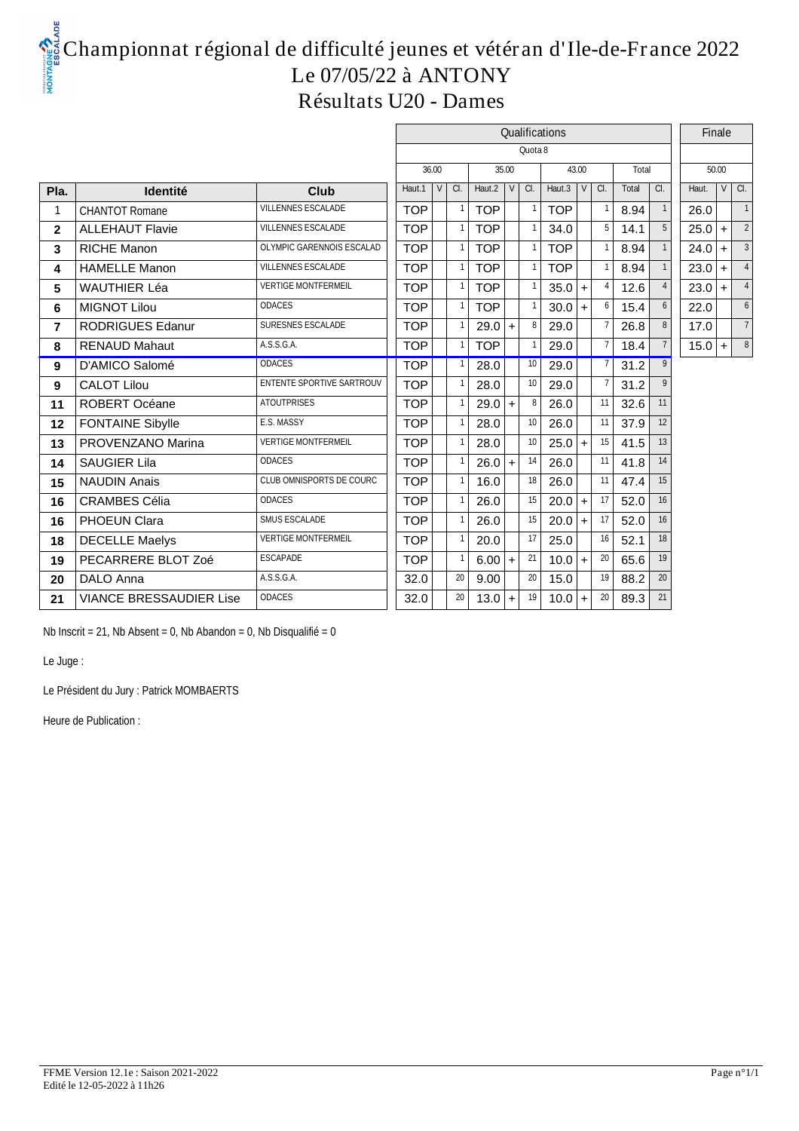# **Championnat régional de difficulté jeunes et vétéran d'Ile-de-France 2022 Le 07/05/22 à ANTONY Résultats U20 - Dames**

|                |                                |                                  |            |                   | Qualifications |           |                    | Finale     |                       |       |    |          |       |                   |  |
|----------------|--------------------------------|----------------------------------|------------|-------------------|----------------|-----------|--------------------|------------|-----------------------|-------|----|----------|-------|-------------------|--|
|                |                                |                                  |            |                   |                |           | Quota <sub>8</sub> |            |                       |       |    |          |       |                   |  |
|                |                                |                                  | 36.00      |                   |                | 35.00     |                    | 43.00      |                       | Total |    |          | 50.00 |                   |  |
| Pla.           | Identité                       | Club                             | Haut.1     | $\overline{v}$ a. | Haut.2         |           | $V \mid G$ .       | Haut.3     | $\vee$<br>CI.         | Total | a. | Haut.    |       | $\overline{v}$ a. |  |
|                | <b>CHANTOT Romane</b>          | <b>VILLENNES ESCALADE</b>        | <b>TOP</b> |                   | <b>TOP</b>     |           |                    | <b>TOP</b> | -1                    | 8.94  |    | 26.0     |       |                   |  |
| $\mathbf{2}$   | <b>ALLEHAUT Flavie</b>         | VILLENNES ESCALADE               | <b>TOP</b> | -1                | <b>TOP</b>     |           |                    | 34.0       | 5 <sup>1</sup>        | 14.1  | 5  | $25.0 +$ |       | 2                 |  |
| 3              | <b>RICHE Manon</b>             | OLYMPIC GARENNOIS ESCALAD        | <b>TOP</b> | $\mathbf 1$       | <b>TOP</b>     |           |                    | <b>TOP</b> | -1                    | 8.94  |    | 24.0     | $+$   | 3                 |  |
| 4              | <b>HAMELLE Manon</b>           | <b>VILLENNES ESCALADE</b>        | <b>TOP</b> | $\mathbf{1}$      | <b>TOP</b>     |           |                    | <b>TOP</b> | $\overline{1}$        | 8.94  |    | $23.0 +$ |       |                   |  |
| 5              | <b>WAUTHIER Léa</b>            | <b>VERTIGE MONTFERMEIL</b>       | <b>TOP</b> | $\mathbf 1$       | <b>TOP</b>     |           |                    | 35.0       | $\overline{4}$<br>$+$ | 12.6  |    | 23.0     | $+$   |                   |  |
| 6              | <b>MIGNOT Lilou</b>            | <b>ODACES</b>                    | <b>TOP</b> | $\mathbf{1}$      | <b>TOP</b>     |           |                    | 30.0       | 6<br>$+$              | 15.4  |    | 22.0     |       |                   |  |
| $\overline{7}$ | <b>RODRIGUES Edanur</b>        | SURESNES ESCALADE                | <b>TOP</b> |                   | 29.0           | $\ddot{}$ | 8                  | 29.0       | -7                    | 26.8  | 8  | 17.0     |       |                   |  |
| 8              | <b>RENAUD Mahaut</b>           | ASSGA                            | <b>TOP</b> | $\overline{1}$    | <b>TOP</b>     |           |                    | 29.0       | $\overline{7}$        | 18.4  |    | $15.0$ + |       | 8                 |  |
| 9              | D'AMICO Salomé                 | <b>ODACES</b>                    | <b>TOP</b> |                   | 28.0           |           | 10                 | 29.0       | $\overline{7}$        | 31.2  | 9  |          |       |                   |  |
| 9              | <b>CALOT Lilou</b>             | <b>ENTENTE SPORTIVE SARTROUV</b> | <b>TOP</b> |                   | 28.0           |           | 10 <sup>10</sup>   | 29.0       | $\overline{7}$        | 31.2  |    |          |       |                   |  |
| 11             | ROBERT Océane                  | <b>ATOUTPRISES</b>               | <b>TOP</b> |                   | 29.0           | $\ddot{}$ | 8                  | 26.0       | 11                    | 32.6  | 11 |          |       |                   |  |
| $12 \,$        | <b>FONTAINE Sibylle</b>        | E.S. MASSY                       | <b>TOP</b> |                   | 28.0           |           | 10 <sup>10</sup>   | 26.0       | 11                    | 37.9  | 12 |          |       |                   |  |
| 13             | PROVENZANO Marina              | <b>VERTIGE MONTFERMEIL</b>       | <b>TOP</b> |                   | 28.0           |           | 10 <sup>°</sup>    | 25.0       | 15<br>$+$             | 41.5  | 13 |          |       |                   |  |
| 14             | <b>SAUGIER Lila</b>            | <b>ODACES</b>                    | <b>TOP</b> |                   | 26.0           | $\ddot{}$ | 14                 | 26.0       | 11                    | 41.8  | 14 |          |       |                   |  |
| 15             | <b>NAUDIN Anais</b>            | CLUB OMNISPORTS DE COURC         | <b>TOP</b> | $\mathbf{1}$      | 16.0           |           | 18                 | 26.0       | 11                    | 47.4  | 15 |          |       |                   |  |
| 16             | <b>CRAMBES Célia</b>           | <b>ODACES</b>                    | <b>TOP</b> |                   | 26.0           |           | 15                 | 20.0       | 17<br>$+$             | 52.0  | 16 |          |       |                   |  |
| 16             | PHOEUN Clara                   | SMUS ESCALADE                    | <b>TOP</b> |                   | 26.0           |           | 15                 | 20.0       | 17<br>$+$             | 52.0  | 16 |          |       |                   |  |
| 18             | <b>DECELLE Maelys</b>          | <b>VERTIGE MONTFERMEIL</b>       | <b>TOP</b> |                   | 20.0           |           | 17                 | 25.0       | 16                    | 52.1  | 18 |          |       |                   |  |
| 19             | PECARRERE BLOT Zoé             | <b>ESCAPADE</b>                  | <b>TOP</b> |                   | 6.00           | $\ddot{}$ | 21                 | 10.0       | 20<br>$+$             | 65.6  | 19 |          |       |                   |  |
| 20             | DALO Anna                      | <b>ASSGA</b>                     | 32.0       | 20                | 9.00           |           | 20                 | 15.0       | 19                    | 88.2  | 20 |          |       |                   |  |
| 21             | <b>VIANCE BRESSAUDIER Lise</b> | <b>ODACES</b>                    | 32.0       | 20                | 13.0           | $\ddot{}$ | 19 <sup>1</sup>    | 10.0       | 20                    | 89.3  | 21 |          |       |                   |  |

Nb Inscrit = 21, Nb Absent = 0, Nb Abandon = 0, Nb Disqualifié = 0

Le Juge :

Le Président du Jury : Patrick MOMBAERTS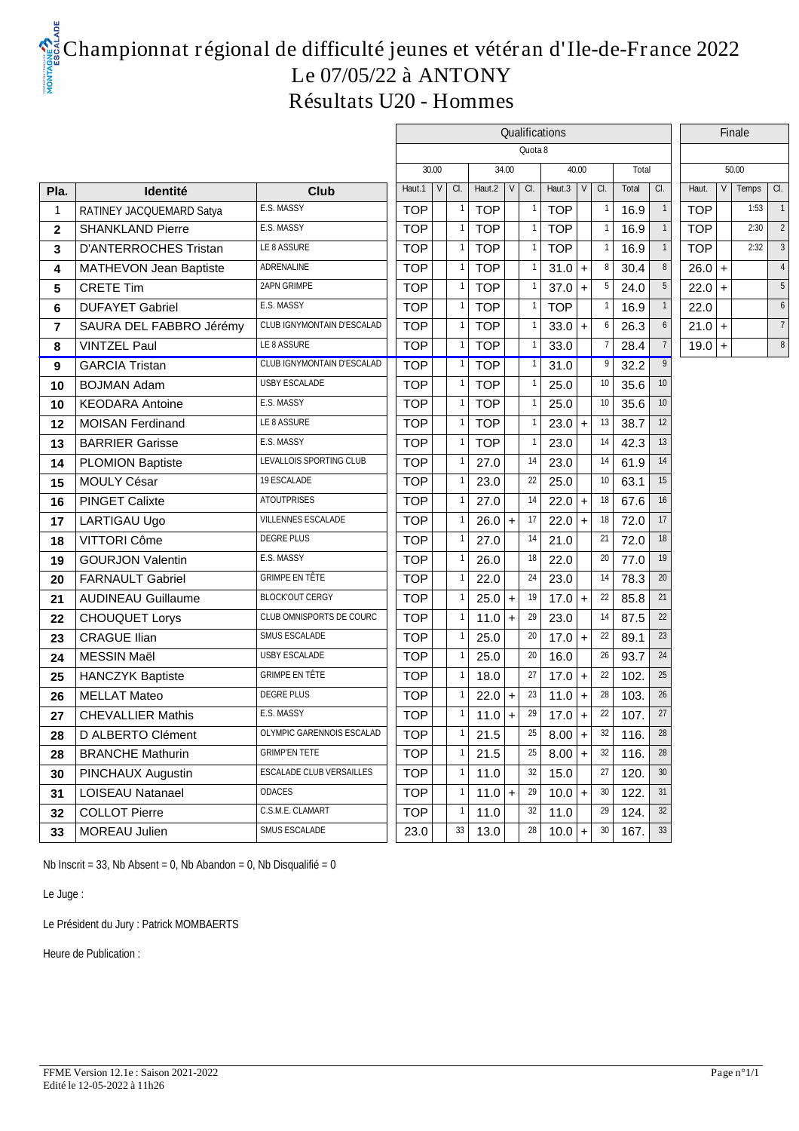## **Championnat régional de difficulté jeunes et vétéran d'Ile-de-France 2022 Le 07/05/22 à ANTONY Résultats U20 - Hommes**

|                |                              |                                 | Qualifications |                |               |           |                    |                  |           |                            |                               |                  |  |            | Finale |                 |
|----------------|------------------------------|---------------------------------|----------------|----------------|---------------|-----------|--------------------|------------------|-----------|----------------------------|-------------------------------|------------------|--|------------|--------|-----------------|
|                |                              |                                 |                |                |               |           | Quota <sub>8</sub> |                  |           |                            |                               |                  |  |            |        |                 |
|                |                              |                                 | 30.00          |                |               | 34.00     |                    |                  | 40.00     |                            | Total                         |                  |  |            | 50.00  |                 |
| Pla.           | Identité                     | Club                            | Haut.1         | $V \mid G$ .   | Haut. $2  V $ |           | a.                 | Haut.3 $ V $ Cl. |           |                            | Total                         | a.               |  | Haut.<br>V | Temps  | CI.             |
|                | RATINEY JACQUEMARD Satya     | E.S. MASSY                      | <b>TOP</b>     |                | <b>TOP</b>    |           |                    | <b>TOP</b>       |           |                            | 16.9                          |                  |  | <b>TOP</b> | 1:53   |                 |
| $\overline{2}$ | <b>SHANKLAND Pierre</b>      | E.S. MASSY                      | <b>TOP</b>     | $\overline{1}$ | <b>TOP</b>    |           |                    | <b>TOP</b>       |           |                            | 16.9                          |                  |  | <b>TOP</b> | 2:30   | 2               |
| -3             | <b>D'ANTERROCHES Tristan</b> | LE 8 ASSURE                     | <b>TOP</b>     |                | <b>TOP</b>    |           |                    | <b>TOP</b>       |           |                            | 16.9                          |                  |  | <b>TOP</b> | 2:32   | $\mathbf{3}$    |
| 4              | MATHEVON Jean Baptiste       | <b>ADRENALINE</b>               | <b>TOP</b>     | $\mathbf{1}$   | <b>TOP</b>    |           |                    | 31.0             | $\ddot{}$ | 8                          | 30.4                          | 8                |  | $26.0 +$   |        | $\overline{4}$  |
| 5              | <b>CRETE Tim</b>             | 2APN GRIMPE                     | <b>TOP</b>     | $\overline{1}$ | <b>TOP</b>    |           |                    | 37.0             | $\ddot{}$ | 5                          | 24.0                          | 5                |  | $22.0 +$   |        | $5\phantom{.0}$ |
| 6              | <b>DUFAYET Gabriel</b>       | E.S. MASSY                      | <b>TOP</b>     |                | <b>TOP</b>    |           |                    | <b>TOP</b>       |           |                            | 16.9                          |                  |  | 22.0       |        | 6               |
| 7              | SAURA DEL FABBRO Jérémy      | CLUB IGNYMONTAIN D'ESCALAD      | <b>TOP</b>     | $\overline{1}$ | <b>TOP</b>    |           |                    | 33.0             | $\ddot{}$ | 6                          | 26.3                          | 6                |  | $21.0 +$   |        | $\overline{7}$  |
| 8              | <b>VINTZEL Paul</b>          | LE 8 ASSURE                     | <b>TOP</b>     |                | <b>TOP</b>    |           |                    | 33.0             |           |                            | 28.4                          |                  |  | $19.0 +$   |        | 8               |
| 9              | <b>GARCIA Tristan</b>        | CLUB IGNYMONTAIN D'ESCALAD      | <b>TOP</b>     | $\vert$ 1      | <b>TOP</b>    |           |                    | 31.0             |           | 9 <sup>1</sup>             | 32.2                          | 9                |  |            |        |                 |
| 10             | <b>BOJMAN Adam</b>           | <b>USBY ESCALADE</b>            | <b>TOP</b>     |                | <b>TOP</b>    |           |                    | 25.0             |           | 10 <sup>°</sup>            | 35.6                          | 10 <sup>°</sup>  |  |            |        |                 |
| 10             | <b>KEODARA Antoine</b>       | E.S. MASSY                      | <b>TOP</b>     |                | <b>TOP</b>    |           |                    | 25.0             |           | 10                         | 35.6                          | 10 <sup>10</sup> |  |            |        |                 |
| 12             | <b>MOISAN Ferdinand</b>      | LE 8 ASSURE                     | <b>TOP</b>     | -1             | <b>TOP</b>    |           |                    | 23.0             | +         | 13                         | 38.7                          | 12               |  |            |        |                 |
| 13             | <b>BARRIER Garisse</b>       | E.S. MASSY                      | <b>TOP</b>     |                | <b>TOP</b>    |           |                    | 23.0             |           | 14                         | 42.3                          | 13               |  |            |        |                 |
| 14             | <b>PLOMION Baptiste</b>      | LEVALLOIS SPORTING CLUB         | <b>TOP</b>     |                | 27.0          |           | 14                 | 23.0             |           | 14                         | 61.9                          | 14               |  |            |        |                 |
| 15             | MOULY César                  | 19 ESCALADE                     | <b>TOP</b>     |                | 23.0          |           | 22                 | 25.0             |           | 10 <sup>°</sup>            | 63.1                          | 15               |  |            |        |                 |
| 16             | <b>PINGET Calixte</b>        | <b>ATOUTPRISES</b>              | <b>TOP</b>     |                | 27.0          |           | 14                 | 22.0             | $\ddot{}$ | 18                         | 67.6                          | 16               |  |            |        |                 |
| 17             | <b>LARTIGAU Ugo</b>          | VILLENNES ESCALADE              | <b>TOP</b>     |                | 26.0          | $\ddot{}$ | 17                 | 22.0             | $\ddot{}$ | 18                         | 72.0                          | 17               |  |            |        |                 |
| 18             | VITTORI Côme                 | <b>DEGREPLUS</b>                | <b>TOP</b>     |                | 27.0          |           | 14                 | 21.0             |           | 21                         | 72.0                          | 18               |  |            |        |                 |
| 19             | <b>GOURJON Valentin</b>      | E.S. MASSY                      | <b>TOP</b>     |                | 26.0          |           | 18                 | 22.0             |           | 20 <sub>1</sub>            | 77.0                          | 19               |  |            |        |                 |
| 20             | <b>FARNAULT Gabriel</b>      | <b>GRIMPE ENTÊTE</b>            | <b>TOP</b>     |                | 22.0          |           | 24                 | 23.0             |           | 14                         | 78.3                          | 20               |  |            |        |                 |
| 21             | <b>AUDINEAU Guillaume</b>    | <b>BLOCKOUT CERGY</b>           | <b>TOP</b>     |                | 25.0          | $+$       | 19                 | 17.0             | $\ddot{}$ | 22                         | 85.8                          | 21               |  |            |        |                 |
| 22             | <b>CHOUQUET Lorys</b>        | CLUB OMNISPORTS DE COURC        | <b>TOP</b>     | $\overline{1}$ | $11.0 +$      |           | 29                 | 23.0             |           | 14                         | 87.5                          | $22\,$           |  |            |        |                 |
| 23             | <b>CRAGUE Ilian</b>          | SMUS ESCALADE                   | <b>TOP</b>     |                | 25.0          |           | 20                 | 17.0             | $\ddot{}$ | 22                         | 89.1                          | 23               |  |            |        |                 |
| 24             | MESSIN Maël                  | <b>USBY ESCALADE</b>            | <b>TOP</b>     |                | 25.0          |           | 20                 | 16.0             |           | 26                         | 93.7                          | 24               |  |            |        |                 |
| 25             | <b>HANCZYK Baptiste</b>      | <b>GRIMPE EN TÊTE</b>           | <b>TOP</b>     |                | 18.0          |           | 27                 | 17.0             | $\ddot{}$ | $\boldsymbol{\mathsf{22}}$ | 102.                          | 25               |  |            |        |                 |
| 26             | <b>MELLAT Mateo</b>          | DEGRE PLUS                      | <b>TOP</b>     |                | 22.0          | $+$       | 23                 | 11.0             | $\ddot{}$ | 28                         | 103.                          | 26               |  |            |        |                 |
| 27             | <b>CHEVALLIER Mathis</b>     | E.S. MASSY                      | <b>TOP</b>     | $\vert$ 1      | $11.0 +$      |           | 29                 | $17.0 +$         |           | 22                         | 107.                          | $27\,$           |  |            |        |                 |
| 28             | D ALBERTO Clément            | OLYMPIC GARENNOIS ESCALAD       | <b>TOP</b>     |                | 21.5          |           | 25                 | $8.00$ +         |           |                            | $\overline{\frac{32}{}}$ 116. | 28               |  |            |        |                 |
| 28             | <b>BRANCHE Mathurin</b>      | <b>GRIMPENTETE</b>              | <b>TOP</b>     |                | 21.5          |           | 25                 | 8.00             | $ + $     | $\frac{32}{2}$             | 116.                          | ${\bf 28}$       |  |            |        |                 |
| 30             | PINCHAUX Augustin            | <b>ESCALADE CLUB VERSAILLES</b> | <b>TOP</b>     | $\overline{1}$ | 11.0          |           | 32                 | 15.0             |           | 27                         | 120.                          | 30               |  |            |        |                 |
| 31             | LOISEAU Natanael             | <b>ODACES</b>                   | <b>TOP</b>     | 1              | $11.0$ +      |           | 29                 | 10.0             | $\ddot{}$ | 30                         | 122.                          | 31               |  |            |        |                 |
| 32             | <b>COLLOT Pierre</b>         | C.S.M.E. CLAMART                | <b>TOP</b>     | 1              | 11.0          |           | 32                 | 11.0             |           | 29                         | 124.                          | $32\,$           |  |            |        |                 |
| 33             | MOREAU Julien                | SMUS ESCALADE                   | 23.0           | $\frac{33}{3}$ | 13.0          |           | 28                 | $10.0 +$         |           | 30                         | 167.                          | $\mathbf{33}$    |  |            |        |                 |
|                |                              |                                 |                |                |               |           |                    |                  |           |                            |                               |                  |  |            |        |                 |

Nb Inscrit = 33, Nb Absent = 0, Nb Abandon = 0, Nb Disqualifié = 0

Le Juge :

Le Président du Jury : Patrick MOMBAERTS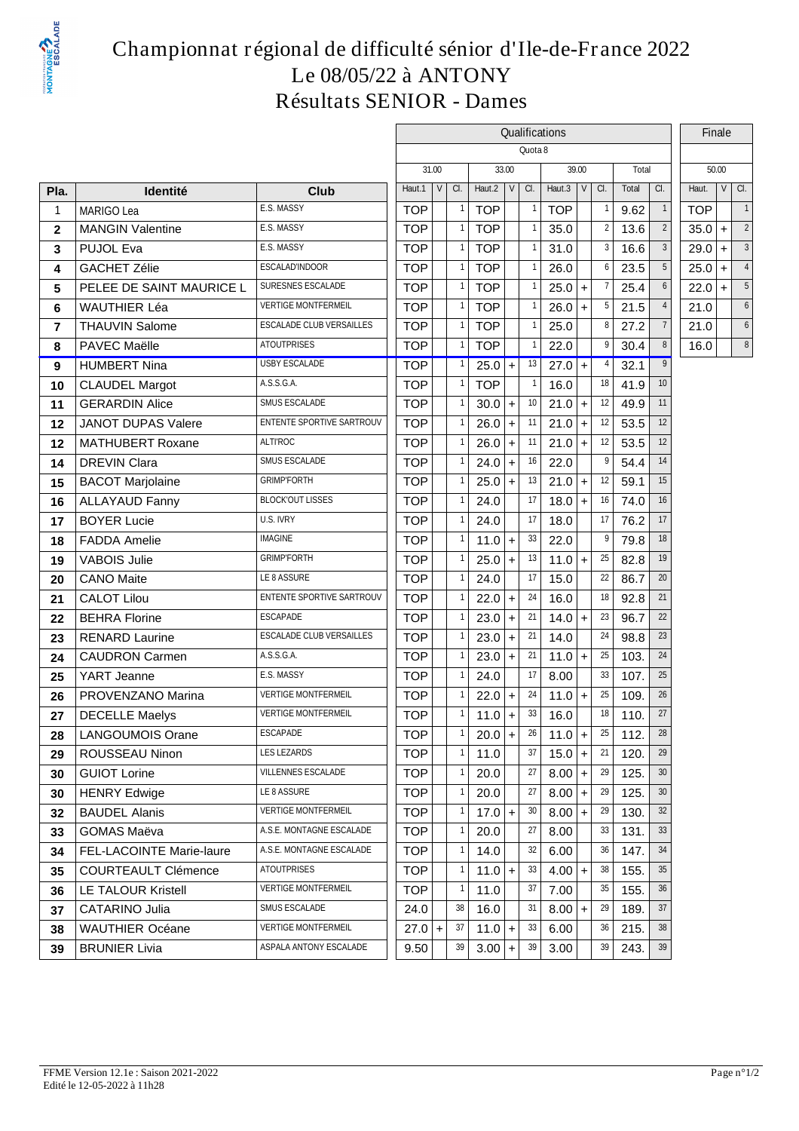

### **Championnat régional de difficulté sénior d'Ile-de-France 2022 Le 08/05/22 à ANTONY Résultats SENIOR - Dames**

|                |                            |                                  | Qualifications   |            |            |       |                    |            |           |                |       |                 |            |       | Finale |  |
|----------------|----------------------------|----------------------------------|------------------|------------|------------|-------|--------------------|------------|-----------|----------------|-------|-----------------|------------|-------|--------|--|
|                |                            |                                  |                  |            |            |       | Quota <sub>8</sub> |            |           |                |       |                 |            |       |        |  |
|                |                            |                                  | 31.00            |            | 33.00      |       |                    | 39.00      |           |                | Total |                 |            | 50.00 |        |  |
| Pla.           | <b>Identité</b>            | <b>Club</b>                      | $\vee$<br>Haut.1 | <b>a</b> . | Haut.2     | V     | CI.                | Haut.3     | $V$ $C.$  |                | Total | a.              | Haut.      |       | $VQ$ . |  |
| -1             | <b>MARIGO Lea</b>          | E.S. MASSY                       | <b>TOP</b>       |            | <b>TOP</b> |       |                    | <b>TOP</b> |           |                | 9.62  | $\mathbf{1}$    | <b>TOP</b> |       |        |  |
| $\mathbf{2}$   | <b>MANGIN Valentine</b>    | E.S. MASSY                       | <b>TOP</b>       |            | <b>TOP</b> |       |                    | 35.0       |           | $\overline{2}$ | 13.6  | $\overline{2}$  | 35.0       | $+$   | 2      |  |
| 3              | PUJOL Eva                  | E.S. MASSY                       | <b>TOP</b>       |            | <b>TOP</b> |       |                    | 31.0       |           | 3              | 16.6  | 3               | 29.0       | $+$   | 3      |  |
| 4              | <b>GACHET Zélie</b>        | <b>ESCALADINDOOR</b>             | <b>TOP</b>       |            | <b>TOP</b> |       |                    | 26.0       |           | 6              | 23.5  | 5               | 25.0       | $+$   |        |  |
| 5              | PELEE DE SAINT MAURICE L   | SURESNES ESCALADE                | <b>TOP</b>       |            | <b>TOP</b> |       |                    | 25.0       | $\ddot{}$ |                | 25.4  | 6               | 22.0       | $+$   | 5      |  |
| 6              | <b>WAUTHIER Léa</b>        | <b>VERTIGE MONTFERMEIL</b>       | <b>TOP</b>       |            | <b>TOP</b> |       |                    | 26.0       | $+$       | 5              | 21.5  |                 | 21.0       |       | 6      |  |
| $\overline{7}$ | <b>THAUVIN Salome</b>      | ESCALADE CLUB VERSAILLES         | <b>TOP</b>       |            | <b>TOP</b> |       |                    | 25.0       |           | 8              | 27.2  | $\overline{7}$  | 21.0       |       | 6      |  |
| 8              | PAVEC Maëlle               | <b>ATOUTPRISES</b>               | <b>TOP</b>       |            | <b>TOP</b> |       |                    | 22.0       |           |                | 30.4  | 8               | 16.0       |       | 8      |  |
| 9              | <b>HUMBERT Nina</b>        | USBY ESCALADE                    | <b>TOP</b>       |            | $25.0$ +   |       | 13                 | $27.0 +$   |           | 4              | 32.1  | 9               |            |       |        |  |
| 10             | <b>CLAUDEL Margot</b>      | <b>ASSGA</b>                     | <b>TOP</b>       |            | <b>TOP</b> |       |                    | 16.0       |           | 18             | 41.9  | 10 <sup>°</sup> |            |       |        |  |
| 11             | <b>GERARDIN Alice</b>      | SMUS ESCALADE                    | <b>TOP</b>       |            | $30.0$ +   |       | 10                 | 21.0       | $\pm$     | 12             | 49.9  | 11              |            |       |        |  |
| 12             | <b>JANOT DUPAS Valere</b>  | <b>ENTENTE SPORTIVE SARTROUV</b> | <b>TOP</b>       |            | $26.0$ +   |       | 11                 | 21.0       | $+$       | 12             | 53.5  | 12              |            |       |        |  |
| 12             | <b>MATHUBERT Roxane</b>    | ALTI'ROC                         | <b>TOP</b>       |            | $26.0$ +   |       | 11                 | 21.0       | $+$       | 12             | 53.5  | 12              |            |       |        |  |
| 14             | <b>DREVIN Clara</b>        | SMUS ESCALADE                    | <b>TOP</b>       |            | 24.0       | $+$   | 16                 | 22.0       |           |                | 54.4  | 14              |            |       |        |  |
| 15             | <b>BACOT Marjolaine</b>    | <b>GRIMPFORTH</b>                | <b>TOP</b>       |            | 25.0       | $+$   | 13                 | 21.0       | $+$       | 12             | 59.1  | 15              |            |       |        |  |
| 16             | <b>ALLAYAUD Fanny</b>      | <b>BLOCKOUT LISSES</b>           | <b>TOP</b>       |            | 24.0       |       | 17                 | 18.0       | $\ddot{}$ | 16             | 74.0  | 16              |            |       |        |  |
| 17             | <b>BOYER Lucie</b>         | U.S. IVRY                        | <b>TOP</b>       |            | 24.0       |       | 17                 | 18.0       |           | 17             | 76.2  | 17              |            |       |        |  |
| 18             | <b>FADDA Amelie</b>        | <b>IMAGINE</b>                   | <b>TOP</b>       |            | $11.0$ +   |       | 33                 | 22.0       |           | 9              | 79.8  | 18              |            |       |        |  |
| 19             | <b>VABOIS Julie</b>        | <b>GRIMPFORTH</b>                | <b>TOP</b>       |            | $25.0$ +   |       | 13                 | 11.0       | $\ddot{}$ | 25             | 82.8  | 19              |            |       |        |  |
| 20             | <b>CANO Maite</b>          | LE 8 ASSURE                      | <b>TOP</b>       |            | 24.0       |       | 17                 | 15.0       |           | 22             | 86.7  | 20              |            |       |        |  |
| 21             | <b>CALOT Lilou</b>         | <b>ENTENTE SPORTIVE SARTROUV</b> | <b>TOP</b>       |            | 22.0       | $+$   | 24                 | 16.0       |           | 18             | 92.8  | 21              |            |       |        |  |
| 22             | <b>BEHRA Florine</b>       | <b>ESCAPADE</b>                  | <b>TOP</b>       |            | 23.0       | $+$   | 21                 | 14.0       | $\ddot{}$ | 23             | 96.7  | $22\,$          |            |       |        |  |
| 23             | <b>RENARD Laurine</b>      | ESCALADE CLUB VERSAILLES         | <b>TOP</b>       |            | $23.0$ +   |       | 21                 | 14.0       |           | 24             | 98.8  | $23\,$          |            |       |        |  |
| 24             | <b>CAUDRON Carmen</b>      | ASSGA                            | <b>TOP</b>       |            | $23.0$ +   |       | 21                 | $11.0 +$   |           | 25             | 103.  | 24              |            |       |        |  |
| 25             | YART Jeanne                | E.S. MASSY                       | <b>TOP</b>       |            | 24.0       |       | 17                 | 8.00       |           | 33             | 107.  | 25              |            |       |        |  |
| 26             | PROVENZANO Marina          | <b>VERTIGE MONTFERMEIL</b>       | <b>TOP</b>       |            | 22.0       | $+$   | 24                 | $11.0 +$   |           | 25             | 109.  | $26\,$          |            |       |        |  |
| 27             | <b>DECELLE Maelys</b>      | <b>VERTIGE MONTFERMEIL</b>       | <b>TOP</b>       |            | 11.0       | $ + $ | 33                 | 16.0       |           | 18             | 110.  | 27              |            |       |        |  |
| 28             | <b>LANGOUMOIS Orane</b>    | <b>ESCAPADE</b>                  | <b>TOP</b>       |            | $20.0$ +   |       | 26                 | $11.0$ +   |           | 25             | 112.  | 28              |            |       |        |  |
| 29             | ROUSSEAU Ninon             | <b>LES LEZARDS</b>               | <b>TOP</b>       |            | 11.0       |       | 37                 | $15.0$ +   |           | 21             | 120.  | 29              |            |       |        |  |
| 30             | <b>GUIOT Lorine</b>        | VILLENNES ESCALADE               | <b>TOP</b>       |            | 20.0       |       | 27                 | 8.00       | $ + $     | 29             | 125.  | 30 <sup>°</sup> |            |       |        |  |
| 30             | <b>HENRY Edwige</b>        | LE 8 ASSURE                      | <b>TOP</b>       |            | 20.0       |       | 27                 | $8.00$ +   |           | 29             | 125.  | 30              |            |       |        |  |
| 32             | <b>BAUDEL Alanis</b>       | <b>VERTIGE MONTFERMEIL</b>       | <b>TOP</b>       |            | $17.0$ +   |       | 30                 | 8.00       | $+$       | 29             | 130.  | 32              |            |       |        |  |
| 33             | <b>GOMAS Maëva</b>         | A.S.E. MONTAGNE ESCALADE         | <b>TOP</b>       |            | 20.0       |       | 27                 | 8.00       |           | 33             | 131.  | 33              |            |       |        |  |
| 34             | FEL-LACOINTE Marie-laure   | A.S.E. MONTAGNE ESCALADE         | <b>TOP</b>       |            | 14.0       |       | 32                 | 6.00       |           | 36             | 147.  | 34              |            |       |        |  |
| 35             | <b>COURTEAULT Clémence</b> | <b>ATOUTPRISES</b>               | <b>TOP</b>       |            | $11.0$ +   |       | 33                 | 4.00       | $+$       | 38             | 155.  | 35              |            |       |        |  |
| 36             | <b>LE TALOUR Kristell</b>  | <b>VERTIGE MONTFERMEIL</b>       | <b>TOP</b>       |            | 11.0       |       | 37                 | 7.00       |           | 35             | 155.  | 36              |            |       |        |  |
| 37             | CATARINO Julia             | SMUS ESCALADE                    | 24.0             | 38         | 16.0       |       | 31                 | 8.00       | $\ddot{}$ | 29             | 189.  | 37              |            |       |        |  |
| 38             | <b>WAUTHIER Océane</b>     | <b>VERTIGE MONTFERMEIL</b>       | $27.0 +$         | 37         | $11.0$ +   |       | 33                 | 6.00       |           | 36             | 215.  | 38              |            |       |        |  |
| 39             | BRUNIER Livia              | ASPALA ANTONY ESCALADE           | 9.50             | 39         | $3.00$ +   |       | 39                 | 3.00       |           | 39             | 243.  | $39$            |            |       |        |  |
|                |                            |                                  |                  |            |            |       |                    |            |           |                |       |                 |            |       |        |  |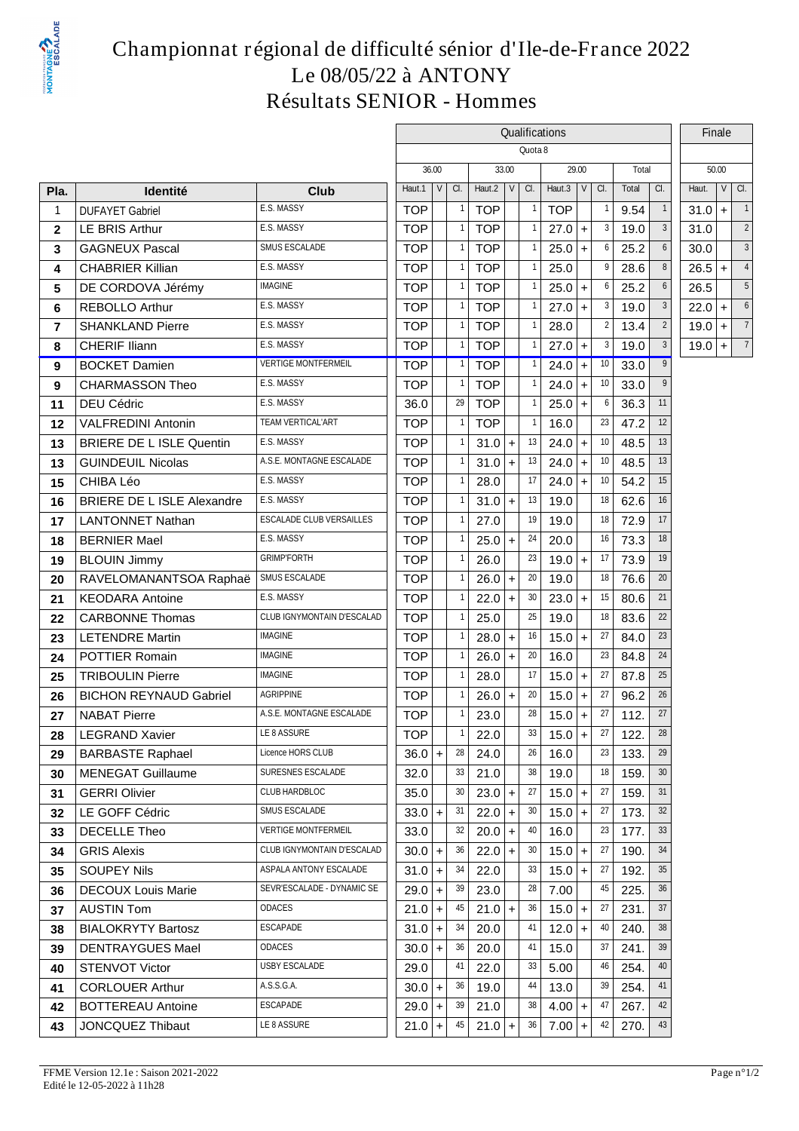

### **Championnat régional de difficulté sénior d'Ile-de-France 2022 Le 08/05/22 à ANTONY Résultats SENIOR - Hommes**

|                |                                   |                                 | Qualifications |       |    |            |              |                    |            |           |                |       |                 |          | Finale                      |  |
|----------------|-----------------------------------|---------------------------------|----------------|-------|----|------------|--------------|--------------------|------------|-----------|----------------|-------|-----------------|----------|-----------------------------|--|
|                |                                   |                                 |                |       |    |            |              | Quota <sub>8</sub> |            |           |                |       |                 |          |                             |  |
|                |                                   |                                 |                | 36.00 |    | 33.00      |              |                    |            | 29.00     |                | Total |                 |          | 50.00                       |  |
| Pla.           | <b>Identité</b>                   | <b>Club</b>                     | Haut.1         | V     | a. | Haut.2     | $\mathsf{V}$ | a.                 | Haut.3     | V         | CI.            | Total | a.              | Haut.    | $\vee$<br>a.                |  |
| $\overline{1}$ | <b>DUFAYET Gabriel</b>            | E.S. MASSY                      | <b>TOP</b>     |       |    | <b>TOP</b> |              |                    | <b>TOP</b> |           |                | 9.54  | $\overline{1}$  | $31.0 +$ |                             |  |
| $\mathbf{2}$   | <b>LE BRIS Arthur</b>             | E.S. MASSY                      | <b>TOP</b>     |       |    | <b>TOP</b> |              |                    | 27.0       | $+$       | 3              | 19.0  | $\mathbf{3}$    | 31.0     | $\overline{2}$              |  |
| 3              | <b>GAGNEUX Pascal</b>             | SMUS ESCALADE                   | <b>TOP</b>     |       |    | <b>TOP</b> |              |                    | 25.0       | $\ddot{}$ | 6              | 25.2  | 6               | 30.0     | 3                           |  |
| 4              | <b>CHABRIER Killian</b>           | E.S. MASSY                      | <b>TOP</b>     |       |    | <b>TOP</b> |              |                    | 25.0       |           | 9              | 28.6  | 8               | 26.5     | $\overline{4}$<br>$\ddot{}$ |  |
| 5              | DE CORDOVA Jérémy                 | <b>IMAGINE</b>                  | <b>TOP</b>     |       |    | <b>TOP</b> |              |                    | 25.0       | $+$       | 6              | 25.2  | $6\phantom{1}$  | 26.5     | 5                           |  |
| 6              | <b>REBOLLO Arthur</b>             | E.S. MASSY                      | <b>TOP</b>     |       |    | <b>TOP</b> |              |                    | $27.0 +$   |           | 3              | 19.0  | 3               | $22.0 +$ | 6                           |  |
| $\overline{7}$ | <b>SHANKLAND Pierre</b>           | E.S. MASSY                      | <b>TOP</b>     |       |    | <b>TOP</b> |              |                    | 28.0       |           | $\overline{2}$ | 13.4  | $\overline{2}$  | $19.0 +$ | $\overline{7}$              |  |
| 8              | CHERIF Iliann                     | E.S. MASSY                      | <b>TOP</b>     |       |    | <b>TOP</b> |              |                    | 27.0       | $\ddot{}$ | 3              | 19.0  | 3               | $19.0 +$ | $\overline{7}$              |  |
| 9              | <b>BOCKET Damien</b>              | <b>VERTIGE MONTFERMEIL</b>      | <b>TOP</b>     |       |    | <b>TOP</b> |              |                    | $24.0 +$   |           | 10             | 33.0  | 9               |          |                             |  |
| 9              | <b>CHARMASSON Theo</b>            | E.S. MASSY                      | <b>TOP</b>     |       |    | <b>TOP</b> |              |                    | 24.0       | $+$       | 10             | 33.0  | 9               |          |                             |  |
| 11             | DEU Cédric                        | E.S. MASSY                      | 36.0           |       | 29 | <b>TOP</b> |              |                    | 25.0       | $+$       | 6              | 36.3  | 11              |          |                             |  |
| 12             | <b>VALFREDINI Antonin</b>         | <b>TEAM VERTICAL'ART</b>        | <b>TOP</b>     |       |    | <b>TOP</b> |              |                    | 16.0       |           | 23             | 47.2  | 12              |          |                             |  |
| 13             | <b>BRIERE DE L ISLE Quentin</b>   | E.S. MASSY                      | <b>TOP</b>     |       |    | 31.0       | $+$          | 13                 | 24.0       | $+$       | 10             | 48.5  | 13              |          |                             |  |
| 13             | <b>GUINDEUIL Nicolas</b>          | A.S.E. MONTAGNE ESCALADE        | <b>TOP</b>     |       |    | $31.0 +$   |              | 13                 | 24.0       | $\ddot{}$ | 10             | 48.5  | 13              |          |                             |  |
| 15             | CHIBA Léo                         | E.S. MASSY                      | <b>TOP</b>     |       |    | 28.0       |              | 17                 | 24.0       | $+$       | 10             | 54.2  | 15              |          |                             |  |
| 16             | <b>BRIERE DE L ISLE Alexandre</b> | E.S. MASSY                      | <b>TOP</b>     |       |    | 31.0       | $\ddot{}$    | 13                 | 19.0       |           | 18             | 62.6  | 16              |          |                             |  |
| 17             | <b>LANTONNET Nathan</b>           | <b>ESCALADE CLUB VERSAILLES</b> | <b>TOP</b>     |       |    | 27.0       |              | 19                 | 19.0       |           | 18             | 72.9  | 17              |          |                             |  |
| 18             | <b>BERNIER Mael</b>               | E.S. MASSY                      | <b>TOP</b>     |       |    | 25.0       | $\ddot{}$    | 24                 | 20.0       |           | 16             | 73.3  | 18              |          |                             |  |
| 19             | <b>BLOUIN Jimmy</b>               | <b>GRIMPFORTH</b>               | <b>TOP</b>     |       |    | 26.0       |              | 23                 | $19.0 +$   |           | 17             | 73.9  | 19              |          |                             |  |
| 20             | RAVELOMANANTSOA Raphaë            | SMUS ESCALADE                   | <b>TOP</b>     |       |    | 26.0       | $\ddot{}$    | 20                 | 19.0       |           | 18             | 76.6  | 20              |          |                             |  |
| 21             | <b>KEODARA Antoine</b>            | E.S. MASSY                      | <b>TOP</b>     |       |    | 22.0       | $\ddot{}$    | 30                 | 23.0       | $+$       | 15             | 80.6  | 21              |          |                             |  |
| 22             | <b>CARBONNE Thomas</b>            | CLUB IGNYMONTAIN D'ESCALAD      | <b>TOP</b>     |       |    | 25.0       |              | 25                 | 19.0       |           | 18             | 83.6  | $22\,$          |          |                             |  |
| 23             | <b>LETENDRE Martin</b>            | <b>IMAGINE</b>                  | <b>TOP</b>     |       |    | 28.0       | $\ddot{}$    | 16                 | $15.0 +$   |           | 27             | 84.0  | 23              |          |                             |  |
| 24             | <b>POTTIER Romain</b>             | <b>IMAGINE</b>                  | <b>TOP</b>     |       |    | 26.0       | $+$          | 20                 | 16.0       |           | 23             | 84.8  | 24              |          |                             |  |
| 25             | <b>TRIBOULIN Pierre</b>           | <b>IMAGINE</b>                  | <b>TOP</b>     |       |    | 28.0       |              | 17                 | 15.0       | $+$       | 27             | 87.8  | 25              |          |                             |  |
| 26             | <b>BICHON REYNAUD Gabriel</b>     | <b>AGRIPPINE</b>                | <b>TOP</b>     |       |    | 26.0       | $\ddot{}$    | 20                 | 15.0       | $+$       | 27             | 96.2  | 26              |          |                             |  |
| 27             | <b>NABAT Pierre</b>               | A.S.E. MONTAGNE ESCALADE        | <b>TOP</b>     |       |    | 23.0       |              | 28                 | $15.0 +$   |           | 27             | 112.  | 27              |          |                             |  |
| 28             | <b>LEGRAND Xavier</b>             | LE 8 ASSURE                     | <b>TOP</b>     |       |    | 22.0       |              | 33                 | $15.0 +$   |           | 27             | 122.  | 28              |          |                             |  |
| 29             | <b>BARBASTE Raphael</b>           | Licence HORS CLUB               | $36.0$ +       |       | 28 | 24.0       |              | 26                 | 16.0       |           | 23             | 133.  | 29              |          |                             |  |
| 30             | <b>MENEGAT Guillaume</b>          | SURESNES ESCALADE               | 32.0           |       | 33 | 21.0       |              | 38                 | 19.0       |           | 18             | 159.  | 30 <sup>°</sup> |          |                             |  |
| 31             | <b>GERRI Olivier</b>              | <b>CLUBHARDBLOC</b>             | 35.0           |       | 30 | $23.0 +$   |              | 27                 | 15.0       | $+$       | 27             | 159.  | 31              |          |                             |  |
| 32             | LE GOFF Cédric                    | SMUS ESCALADE                   | $33.0$ +       |       | 31 | 22.0       | $+$          | 30                 | $15.0 +$   |           | 27             | 173.  | 32              |          |                             |  |
| 33             | <b>DECELLE Theo</b>               | <b>VERTIGE MONTFERMEIL</b>      | 33.0           |       | 32 | 20.0       | $\ddot{}$    | 40                 | 16.0       |           | 23             | 177.  | 33              |          |                             |  |
| 34             | <b>GRIS Alexis</b>                | CLUB IGNYMONTAIN D'ESCALAD      | $30.0$ +       |       | 36 | $22.0 +$   |              | 30                 | 15.0       | $\ddot{}$ | 27             | 190.  | 34              |          |                             |  |
| 35             | <b>SOUPEY Nils</b>                | ASPALA ANTONY ESCALADE          | $31.0$ +       |       | 34 | 22.0       |              | 33                 | $15.0 +$   |           | 27             | 192.  | 35              |          |                             |  |
| 36             | <b>DECOUX Louis Marie</b>         | SEVRESCALADE - DYNAMIC SE       | $29.0$ +       |       | 39 | 23.0       |              | 28                 | 7.00       |           | 45             | 225.  | 36              |          |                             |  |
| 37             | <b>AUSTIN Tom</b>                 | <b>ODACES</b>                   | $21.0$ +       |       | 45 | $21.0 +$   |              | 36                 | 15.0       | $\ddot{}$ | 27             | 231.  | 37              |          |                             |  |
| 38             | <b>BIALOKRYTY Bartosz</b>         | <b>ESCAPADE</b>                 | $31.0$ +       |       | 34 | 20.0       |              | 41                 | $12.0 +$   |           | 40             | 240.  | 38              |          |                             |  |
| 39             | <b>DENTRAYGUES Mael</b>           | <b>ODACES</b>                   | $30.0$ +       |       | 36 | 20.0       |              | 41                 | 15.0       |           | 37             | 241.  | 39              |          |                             |  |
| 40             | <b>STENVOT Victor</b>             | USBY ESCALADE                   | 29.0           |       | 41 | 22.0       |              | 33                 | 5.00       |           | 46             | 254.  | 40              |          |                             |  |
| 41             | <b>CORLOUER Arthur</b>            | <b>ASSGA</b>                    | $30.0$ +       |       | 36 | 19.0       |              | 44                 | 13.0       |           | 39             | 254.  | 41              |          |                             |  |
| 42             | <b>BOTTEREAU Antoine</b>          | <b>ESCAPADE</b>                 | $29.0$ +       |       | 39 | 21.0       |              | 38                 | 4.00       | $+$       | 47             | 267.  | 42              |          |                             |  |
| 43             | <b>JONCQUEZ Thibaut</b>           | LE8ASSURE                       | $21.0$ +       |       | 45 | $21.0 +$   |              | 36                 | $7.00 +$   |           | 42             | 270.  | 43              |          |                             |  |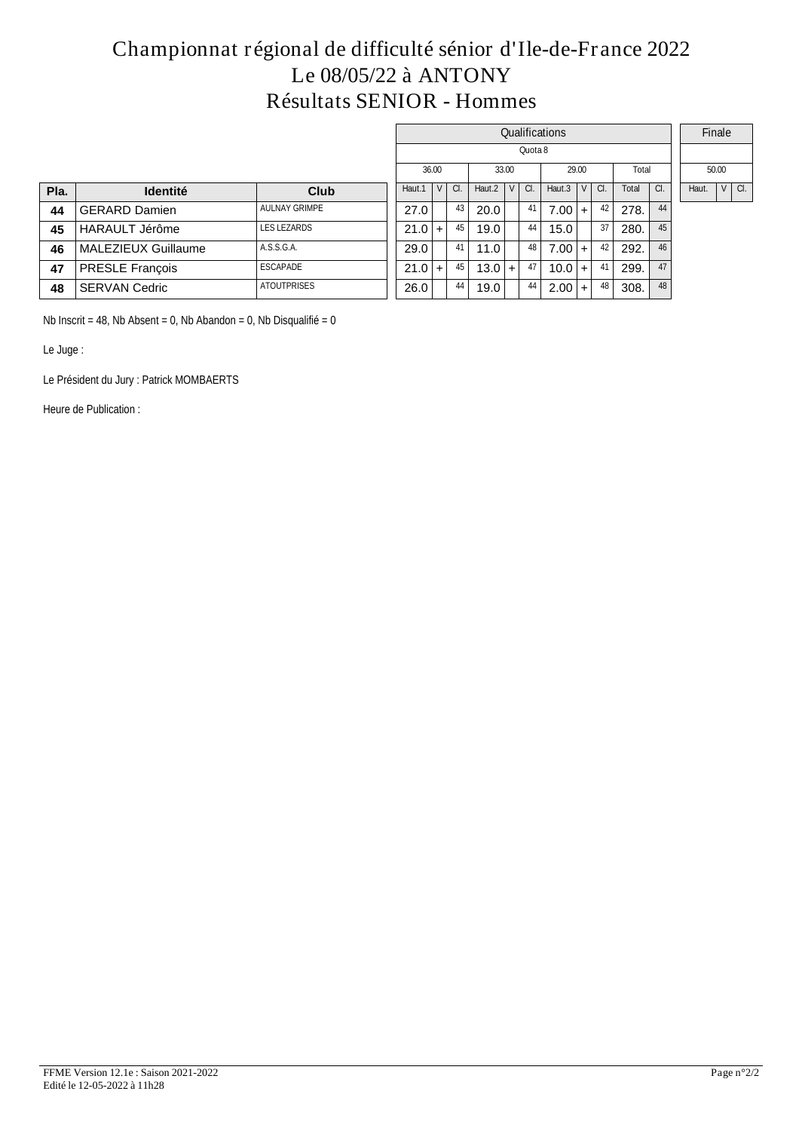### **Championnat régional de difficulté sénior d'Ile-de-France 2022 Le 08/05/22 à ANTONY Résultats SENIOR - Hommes**

|      |                       |                      |        |       |          |        |           |         | Qualifications |                         |     |       |    | Finale                         |
|------|-----------------------|----------------------|--------|-------|----------|--------|-----------|---------|----------------|-------------------------|-----|-------|----|--------------------------------|
|      |                       |                      |        |       |          |        |           | Quota 8 |                |                         |     |       |    |                                |
|      |                       |                      |        | 36.00 |          |        | 33.00     |         |                | 29.00                   |     | Total |    | 50.00                          |
| Pla. | <b>Identité</b>       | <b>Club</b>          | Haut.1 | V     | $\alpha$ | Haut.2 | V         | CI.     | Haut.3         | $\mathsf{I} \mathsf{V}$ | CI. | Total | a. | V <sub>1</sub><br>CI.<br>Haut. |
| 44   | <b>GERARD Damien</b>  | <b>AULNAY GRIMPE</b> | 27.0   |       | 43       | 20.0   |           | 41      | $7.00 +$       |                         | 42  | 278.  | 44 |                                |
| 45   | <b>HARAULT Jérôme</b> | <b>LES LEZARDS</b>   | 21.0   | $+$   | 45       | 19.0   |           | -44 I   | 15.0           |                         | 37  | 280.  | 45 |                                |
| 46   | MALEZIEUX Guillaume   | ASSGA                | 29.0   |       | 41       | 11.0   |           | 48      | $7.00 +$       |                         | 42  | 292.  | 46 |                                |
| 47   | PRESLE François       | <b>ESCAPADE</b>      | 21.0   | $+$   | 45       | 13.0   | $\ddot{}$ | 47 I    | $10.0 +$       |                         | 41  | 299.  | 47 |                                |
| 48   | <b>SERVAN Cedric</b>  | <b>ATOUTPRISES</b>   | 26.0   |       | 44       | 19.0   |           | -44     | $2.00 +$       |                         | 48  | 308.  | 48 |                                |

Nb Inscrit = 48, Nb Absent = 0, Nb Abandon = 0, Nb Disqualifié =  $0$ 

Le Juge :

Le Président du Jury : Patrick MOMBAERTS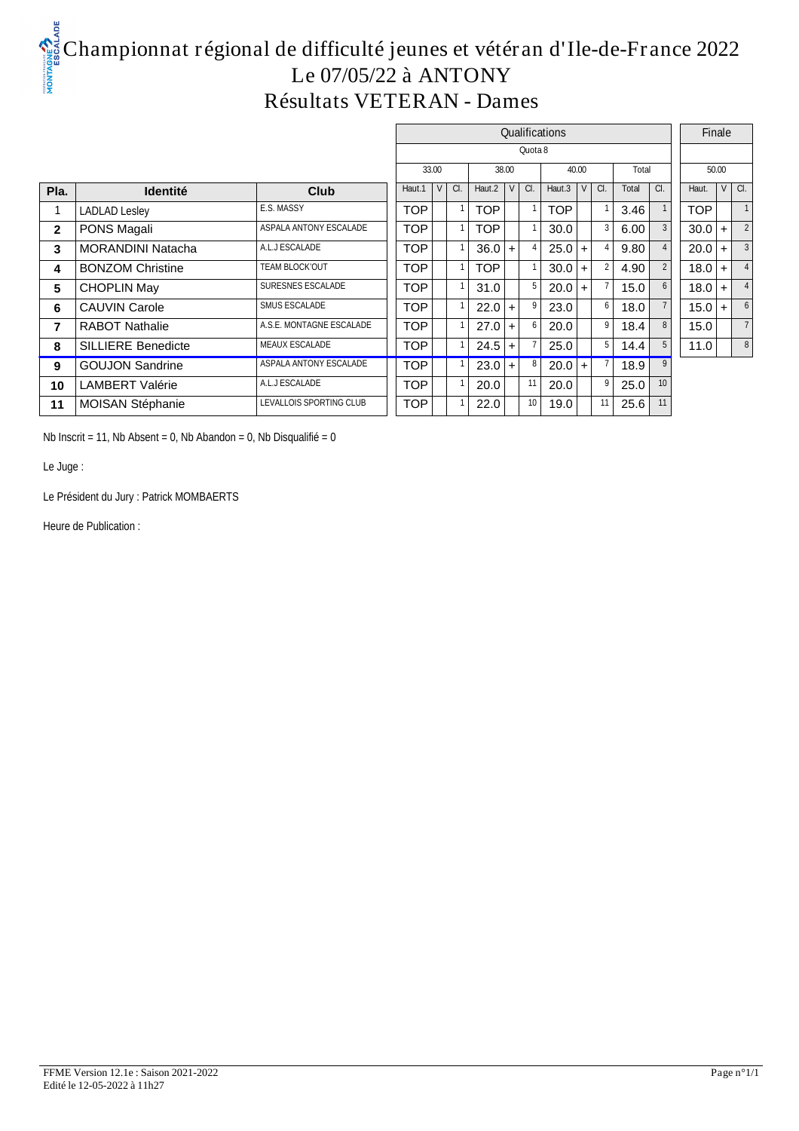# **Championnat régional de difficulté jeunes et vétéran d'Ile-de-France 2022 Le 07/05/22 à ANTONY Résultats VETERAN - Dames**

|                |                           |                          |            |     |          |          |         | Qualifications   |       |     |       |                  |            | Finale |                |
|----------------|---------------------------|--------------------------|------------|-----|----------|----------|---------|------------------|-------|-----|-------|------------------|------------|--------|----------------|
|                |                           |                          |            |     |          |          | Quota 8 |                  |       |     |       |                  |            |        |                |
|                |                           |                          | 33.00      |     |          | 38.00    |         |                  | 40.00 |     | Total |                  |            | 50.00  |                |
| Pla.           | <b>Identité</b>           | <b>Club</b>              | Haut.1 $V$ | CI. | Haut.2   | $ v $ a. |         | Haut.3 $ V $ Cl. |       |     | Total | $\alpha$         | Haut.      |        | v c.           |
|                | <b>LADLAD Lesley</b>      | E.S. MASSY               | <b>TOP</b> |     | TOP      |          |         | <b>TOP</b>       |       |     | 3.46  |                  | <b>TOP</b> |        |                |
| $\overline{2}$ | PONS Magali               | ASPALA ANTONY ESCALADE   | <b>TOP</b> |     | TOP      |          |         | 30.0             |       |     | 6.00  |                  | 30.0       | $+$    |                |
| 3              | <b>MORANDINI Natacha</b>  | ALJ ESCALADE             | <b>TOP</b> |     | 36.0     |          |         | 25.0             | $+$   |     | 9.80  |                  | 20.0       | $+$    |                |
| 4              | <b>BONZOM Christine</b>   | <b>TEAM BLOCKOUT</b>     | <b>TOP</b> |     | TOP      |          |         | 30.0             | $+$   |     | 4.90  |                  | 18.0       | $\pm$  |                |
| 5              | <b>CHOPLIN May</b>        | SURESNES ESCALADE        | <b>TOP</b> |     | 31.0     |          | 5       | 20.0             | $+$   |     | 15.0  |                  | 18.0       | $+$    |                |
| 6              | <b>CAUVIN Carole</b>      | SMUS ESCALADE            | <b>TOP</b> |     | $22.0 +$ |          |         | 23.0             |       | 6 I | 18.0  |                  | 15.0       | $+$    | 6              |
|                | <b>RABOT Nathalie</b>     | A.S.E. MONTAGNE ESCALADE | <b>TOP</b> |     | 27.0     | $+$      |         | 20.0             |       | 9   | 18.4  |                  | 15.0       |        |                |
| 8              | <b>SILLIERE Benedicte</b> | MEAUX ESCALADE           | <b>TOP</b> |     | 24.5     | $+$      |         | 25.0             |       | 51  | 14.4  |                  | 11.0       |        | 8 <sup>1</sup> |
| 9              | <b>GOUJON Sandrine</b>    | ASPALA ANTONY ESCALADE   | <b>TOP</b> |     | $23.0$ + |          | 8       | 20.0             | $+$   |     | 18.9  |                  |            |        |                |
| 10             | <b>LAMBERT Valérie</b>    | A.L.J ESCALADE           | <b>TOP</b> |     | 20.0     |          | 11      | 20.0             |       |     | 25.0  | 10 <sup>10</sup> |            |        |                |
| 11             | MOISAN Stéphanie          | LEVALLOIS SPORTING CLUB  | <b>TOP</b> |     | 22.0     |          | 10      | 19.0             |       | 11  | 25.6  | 11               |            |        |                |

Nb Inscrit = 11, Nb Absent = 0, Nb Abandon = 0, Nb Disqualifié = 0

Le Juge :

Le Président du Jury : Patrick MOMBAERTS